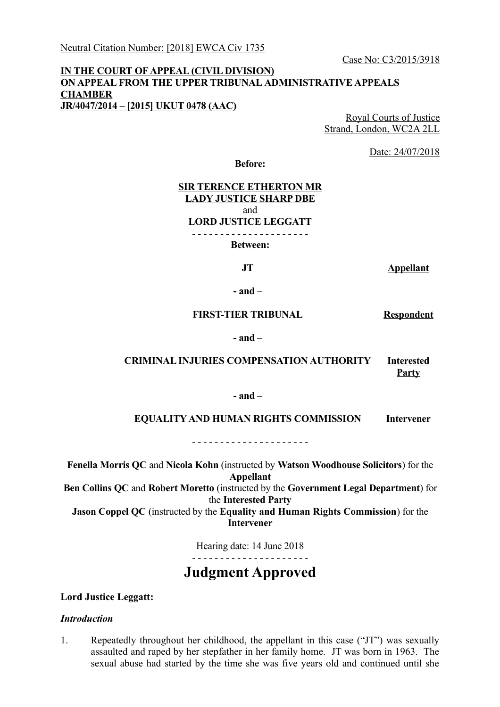### **IN THE COURT OF APPEAL (CIVIL DIVISION) ON APPEAL FROM THE UPPER TRIBUNAL ADMINISTRATIVE APPEALS CHAMBER JR/4047/2014 – [2015] UKUT 0478 (AAC)**

Royal Courts of Justice Strand, London, WC2A 2LL

Date: 24/07/2018

**Before:**

### **SIR TERENCE ETHERTON MR LADY JUSTICE SHARP DBE** and **LORD JUSTICE LEGGATT** - - - - - - - - - - - - - - - - - - - - -

**Between:**

**JT Appellant**

**- and –**

#### **FIRST-TIER TRIBUNAL Respondent**

#### **- and –**

## **CRIMINAL INJURIES COMPENSATION AUTHORITY Interested Party**

#### **- and –**

#### **EQUALITY AND HUMAN RIGHTS COMMISSION Intervener**

- - - - - - - - - - - - - - - - - - - - -

**Fenella Morris QC** and **Nicola Kohn** (instructed by **Watson Woodhouse Solicitors**) for the **Appellant**

**Ben Collins QC** and **Robert Moretto** (instructed by the **Government Legal Department**) for the **Interested Party**

**Jason Coppel QC** (instructed by the **Equality and Human Rights Commission**) for the **Intervener**

> Hearing date: 14 June 2018 - - - - - - - - - - - - - - - - - - - - -

# **Judgment Approved**

### **Lord Justice Leggatt:**

### *Introduction*

1. Repeatedly throughout her childhood, the appellant in this case ("JT") was sexually assaulted and raped by her stepfather in her family home. JT was born in 1963. The sexual abuse had started by the time she was five years old and continued until she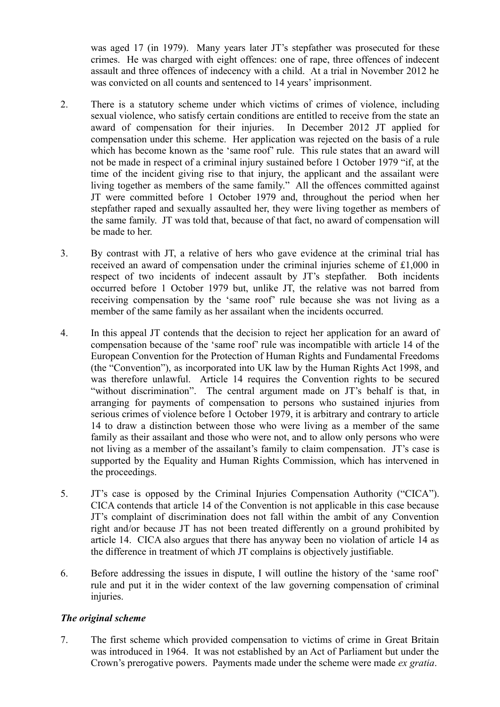was aged 17 (in 1979). Many years later JT's stepfather was prosecuted for these crimes. He was charged with eight offences: one of rape, three offences of indecent assault and three offences of indecency with a child. At a trial in November 2012 he was convicted on all counts and sentenced to 14 years' imprisonment.

- 2. There is a statutory scheme under which victims of crimes of violence, including sexual violence, who satisfy certain conditions are entitled to receive from the state an award of compensation for their injuries. In December 2012 JT applied for compensation under this scheme. Her application was rejected on the basis of a rule which has become known as the 'same roof' rule. This rule states that an award will not be made in respect of a criminal injury sustained before 1 October 1979 "if, at the time of the incident giving rise to that injury, the applicant and the assailant were living together as members of the same family." All the offences committed against JT were committed before 1 October 1979 and, throughout the period when her stepfather raped and sexually assaulted her, they were living together as members of the same family. JT was told that, because of that fact, no award of compensation will be made to her.
- 3. By contrast with JT, a relative of hers who gave evidence at the criminal trial has received an award of compensation under the criminal injuries scheme of £1,000 in respect of two incidents of indecent assault by JT's stepfather. Both incidents occurred before 1 October 1979 but, unlike JT, the relative was not barred from receiving compensation by the 'same roof' rule because she was not living as a member of the same family as her assailant when the incidents occurred.
- 4. In this appeal JT contends that the decision to reject her application for an award of compensation because of the 'same roof' rule was incompatible with article 14 of the European Convention for the Protection of Human Rights and Fundamental Freedoms (the "Convention"), as incorporated into UK law by the Human Rights Act 1998, and was therefore unlawful. Article 14 requires the Convention rights to be secured "without discrimination". The central argument made on JT's behalf is that, in arranging for payments of compensation to persons who sustained injuries from serious crimes of violence before 1 October 1979, it is arbitrary and contrary to article 14 to draw a distinction between those who were living as a member of the same family as their assailant and those who were not, and to allow only persons who were not living as a member of the assailant's family to claim compensation. JT's case is supported by the Equality and Human Rights Commission, which has intervened in the proceedings.
- 5. JT's case is opposed by the Criminal Injuries Compensation Authority ("CICA"). CICA contends that article 14 of the Convention is not applicable in this case because JT's complaint of discrimination does not fall within the ambit of any Convention right and/or because JT has not been treated differently on a ground prohibited by article 14. CICA also argues that there has anyway been no violation of article 14 as the difference in treatment of which JT complains is objectively justifiable.
- 6. Before addressing the issues in dispute, I will outline the history of the 'same roof' rule and put it in the wider context of the law governing compensation of criminal injuries.

## *The original scheme*

7. The first scheme which provided compensation to victims of crime in Great Britain was introduced in 1964. It was not established by an Act of Parliament but under the Crown's prerogative powers. Payments made under the scheme were made *ex gratia*.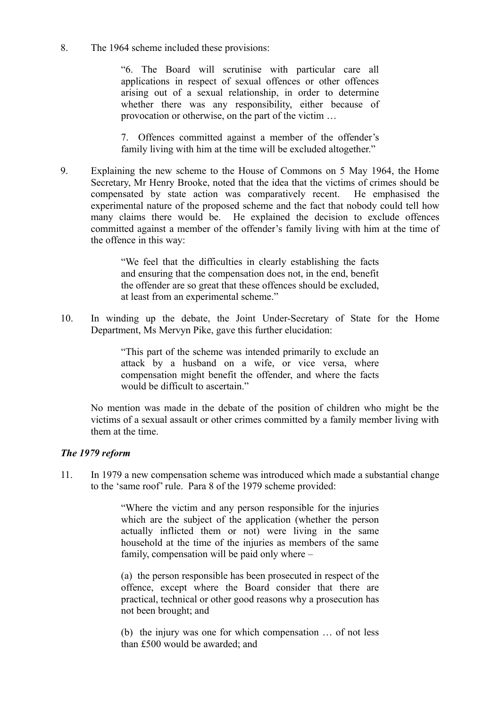8. The 1964 scheme included these provisions:

"6. The Board will scrutinise with particular care all applications in respect of sexual offences or other offences arising out of a sexual relationship, in order to determine whether there was any responsibility, either because of provocation or otherwise, on the part of the victim …

7. Offences committed against a member of the offender's family living with him at the time will be excluded altogether."

9. Explaining the new scheme to the House of Commons on 5 May 1964, the Home Secretary, Mr Henry Brooke, noted that the idea that the victims of crimes should be compensated by state action was comparatively recent. He emphasised the experimental nature of the proposed scheme and the fact that nobody could tell how many claims there would be. He explained the decision to exclude offences committed against a member of the offender's family living with him at the time of the offence in this way:

> "We feel that the difficulties in clearly establishing the facts and ensuring that the compensation does not, in the end, benefit the offender are so great that these offences should be excluded, at least from an experimental scheme."

10. In winding up the debate, the Joint Under-Secretary of State for the Home Department, Ms Mervyn Pike, gave this further elucidation:

> "This part of the scheme was intended primarily to exclude an attack by a husband on a wife, or vice versa, where compensation might benefit the offender, and where the facts would be difficult to ascertain."

No mention was made in the debate of the position of children who might be the victims of a sexual assault or other crimes committed by a family member living with them at the time.

## *The 1979 reform*

11. In 1979 a new compensation scheme was introduced which made a substantial change to the 'same roof' rule. Para 8 of the 1979 scheme provided:

> "Where the victim and any person responsible for the injuries which are the subject of the application (whether the person actually inflicted them or not) were living in the same household at the time of the injuries as members of the same family, compensation will be paid only where –

> (a) the person responsible has been prosecuted in respect of the offence, except where the Board consider that there are practical, technical or other good reasons why a prosecution has not been brought; and

> (b) the injury was one for which compensation … of not less than £500 would be awarded; and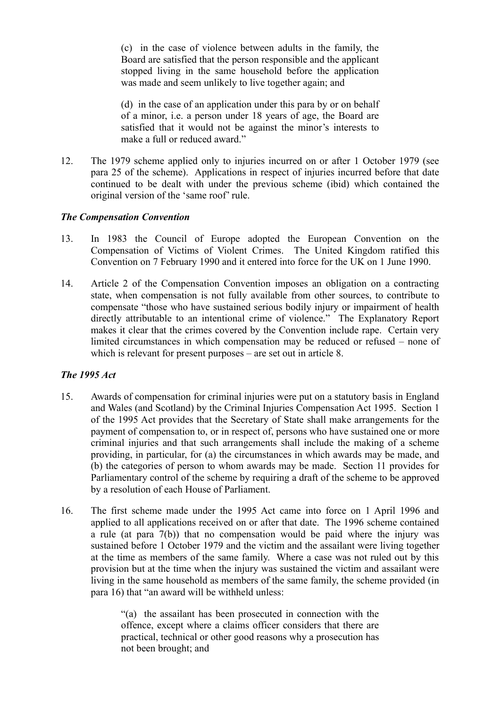(c) in the case of violence between adults in the family, the Board are satisfied that the person responsible and the applicant stopped living in the same household before the application was made and seem unlikely to live together again; and

(d) in the case of an application under this para by or on behalf of a minor, i.e. a person under 18 years of age, the Board are satisfied that it would not be against the minor's interests to make a full or reduced award."

12. The 1979 scheme applied only to injuries incurred on or after 1 October 1979 (see para 25 of the scheme). Applications in respect of injuries incurred before that date continued to be dealt with under the previous scheme (ibid) which contained the original version of the 'same roof' rule.

## *The Compensation Convention*

- 13. In 1983 the Council of Europe adopted the European Convention on the Compensation of Victims of Violent Crimes. The United Kingdom ratified this Convention on 7 February 1990 and it entered into force for the UK on 1 June 1990.
- 14. Article 2 of the Compensation Convention imposes an obligation on a contracting state, when compensation is not fully available from other sources, to contribute to compensate "those who have sustained serious bodily injury or impairment of health directly attributable to an intentional crime of violence." The Explanatory Report makes it clear that the crimes covered by the Convention include rape. Certain very limited circumstances in which compensation may be reduced or refused – none of which is relevant for present purposes – are set out in article 8.

## *The 1995 Act*

- 15. Awards of compensation for criminal injuries were put on a statutory basis in England and Wales (and Scotland) by the Criminal Injuries Compensation Act 1995. Section 1 of the 1995 Act provides that the Secretary of State shall make arrangements for the payment of compensation to, or in respect of, persons who have sustained one or more criminal injuries and that such arrangements shall include the making of a scheme providing, in particular, for (a) the circumstances in which awards may be made, and (b) the categories of person to whom awards may be made. Section 11 provides for Parliamentary control of the scheme by requiring a draft of the scheme to be approved by a resolution of each House of Parliament.
- 16. The first scheme made under the 1995 Act came into force on 1 April 1996 and applied to all applications received on or after that date. The 1996 scheme contained a rule (at para 7(b)) that no compensation would be paid where the injury was sustained before 1 October 1979 and the victim and the assailant were living together at the time as members of the same family. Where a case was not ruled out by this provision but at the time when the injury was sustained the victim and assailant were living in the same household as members of the same family, the scheme provided (in para 16) that "an award will be withheld unless:

"(a) the assailant has been prosecuted in connection with the offence, except where a claims officer considers that there are practical, technical or other good reasons why a prosecution has not been brought; and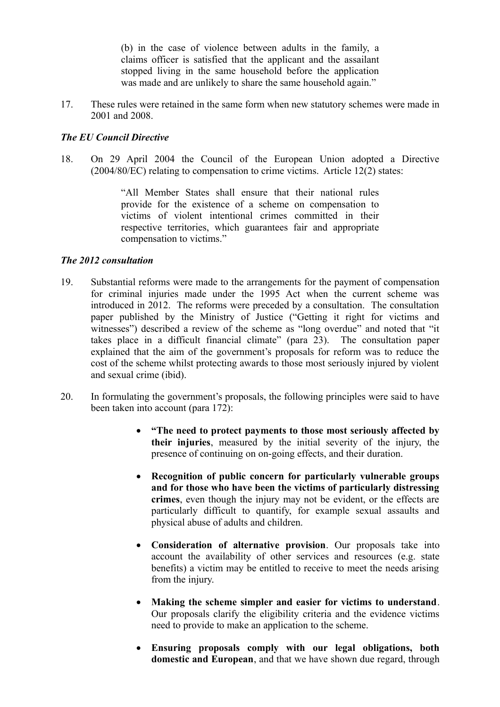(b) in the case of violence between adults in the family, a claims officer is satisfied that the applicant and the assailant stopped living in the same household before the application was made and are unlikely to share the same household again."

17. These rules were retained in the same form when new statutory schemes were made in 2001 and 2008.

## *The EU Council Directive*

18. On 29 April 2004 the Council of the European Union adopted a Directive (2004/80/EC) relating to compensation to crime victims. Article 12(2) states:

> "All Member States shall ensure that their national rules provide for the existence of a scheme on compensation to victims of violent intentional crimes committed in their respective territories, which guarantees fair and appropriate compensation to victims."

## *The 2012 consultation*

- 19. Substantial reforms were made to the arrangements for the payment of compensation for criminal injuries made under the 1995 Act when the current scheme was introduced in 2012. The reforms were preceded by a consultation. The consultation paper published by the Ministry of Justice ("Getting it right for victims and witnesses") described a review of the scheme as "long overdue" and noted that "it takes place in a difficult financial climate" (para 23). The consultation paper explained that the aim of the government's proposals for reform was to reduce the cost of the scheme whilst protecting awards to those most seriously injured by violent and sexual crime (ibid).
- 20. In formulating the government's proposals, the following principles were said to have been taken into account (para 172):
	- **"The need to protect payments to those most seriously affected by their injuries**, measured by the initial severity of the injury, the presence of continuing on on-going effects, and their duration.
	- **Recognition of public concern for particularly vulnerable groups and for those who have been the victims of particularly distressing crimes**, even though the injury may not be evident, or the effects are particularly difficult to quantify, for example sexual assaults and physical abuse of adults and children.
	- **Consideration of alternative provision**. Our proposals take into account the availability of other services and resources (e.g. state benefits) a victim may be entitled to receive to meet the needs arising from the injury.
	- **Making the scheme simpler and easier for victims to understand**. Our proposals clarify the eligibility criteria and the evidence victims need to provide to make an application to the scheme.
	- **Ensuring proposals comply with our legal obligations, both domestic and European**, and that we have shown due regard, through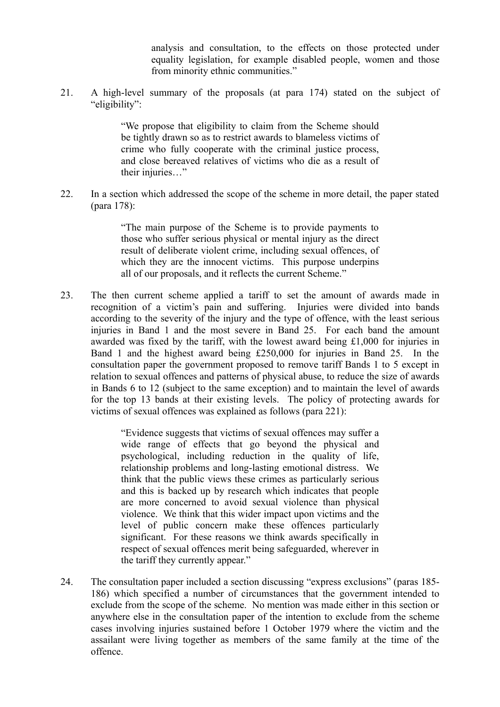analysis and consultation, to the effects on those protected under equality legislation, for example disabled people, women and those from minority ethnic communities."

21. A high-level summary of the proposals (at para 174) stated on the subject of "eligibility":

> "We propose that eligibility to claim from the Scheme should be tightly drawn so as to restrict awards to blameless victims of crime who fully cooperate with the criminal justice process, and close bereaved relatives of victims who die as a result of their injuries…"

22. In a section which addressed the scope of the scheme in more detail, the paper stated (para 178):

> "The main purpose of the Scheme is to provide payments to those who suffer serious physical or mental injury as the direct result of deliberate violent crime, including sexual offences, of which they are the innocent victims. This purpose underpins all of our proposals, and it reflects the current Scheme."

23. The then current scheme applied a tariff to set the amount of awards made in recognition of a victim's pain and suffering. Injuries were divided into bands according to the severity of the injury and the type of offence, with the least serious injuries in Band 1 and the most severe in Band 25. For each band the amount awarded was fixed by the tariff, with the lowest award being £1,000 for injuries in Band 1 and the highest award being £250,000 for injuries in Band 25. In the consultation paper the government proposed to remove tariff Bands 1 to 5 except in relation to sexual offences and patterns of physical abuse, to reduce the size of awards in Bands 6 to 12 (subject to the same exception) and to maintain the level of awards for the top 13 bands at their existing levels. The policy of protecting awards for victims of sexual offences was explained as follows (para 221):

> "Evidence suggests that victims of sexual offences may suffer a wide range of effects that go beyond the physical and psychological, including reduction in the quality of life, relationship problems and long-lasting emotional distress. We think that the public views these crimes as particularly serious and this is backed up by research which indicates that people are more concerned to avoid sexual violence than physical violence. We think that this wider impact upon victims and the level of public concern make these offences particularly significant. For these reasons we think awards specifically in respect of sexual offences merit being safeguarded, wherever in the tariff they currently appear."

24. The consultation paper included a section discussing "express exclusions" (paras 185- 186) which specified a number of circumstances that the government intended to exclude from the scope of the scheme. No mention was made either in this section or anywhere else in the consultation paper of the intention to exclude from the scheme cases involving injuries sustained before 1 October 1979 where the victim and the assailant were living together as members of the same family at the time of the offence.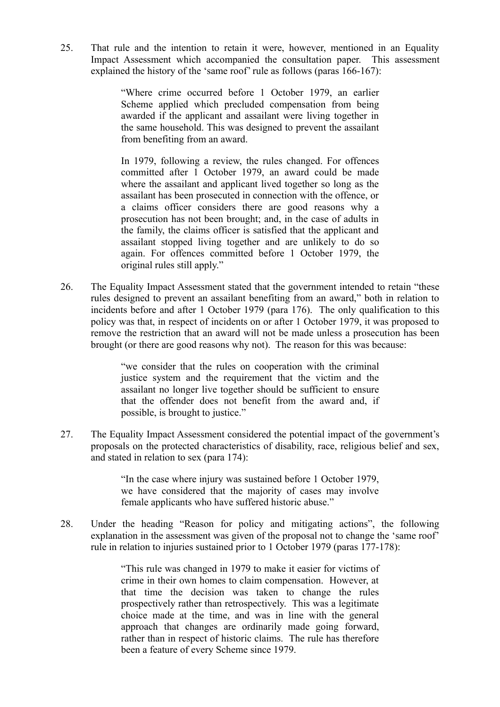25. That rule and the intention to retain it were, however, mentioned in an Equality Impact Assessment which accompanied the consultation paper. This assessment explained the history of the 'same roof' rule as follows (paras 166-167):

> "Where crime occurred before 1 October 1979, an earlier Scheme applied which precluded compensation from being awarded if the applicant and assailant were living together in the same household. This was designed to prevent the assailant from benefiting from an award.

> In 1979, following a review, the rules changed. For offences committed after 1 October 1979, an award could be made where the assailant and applicant lived together so long as the assailant has been prosecuted in connection with the offence, or a claims officer considers there are good reasons why a prosecution has not been brought; and, in the case of adults in the family, the claims officer is satisfied that the applicant and assailant stopped living together and are unlikely to do so again. For offences committed before 1 October 1979, the original rules still apply."

26. The Equality Impact Assessment stated that the government intended to retain "these rules designed to prevent an assailant benefiting from an award," both in relation to incidents before and after 1 October 1979 (para 176). The only qualification to this policy was that, in respect of incidents on or after 1 October 1979, it was proposed to remove the restriction that an award will not be made unless a prosecution has been brought (or there are good reasons why not). The reason for this was because:

> "we consider that the rules on cooperation with the criminal justice system and the requirement that the victim and the assailant no longer live together should be sufficient to ensure that the offender does not benefit from the award and, if possible, is brought to justice."

27. The Equality Impact Assessment considered the potential impact of the government's proposals on the protected characteristics of disability, race, religious belief and sex, and stated in relation to sex (para 174):

> "In the case where injury was sustained before 1 October 1979, we have considered that the majority of cases may involve female applicants who have suffered historic abuse."

28. Under the heading "Reason for policy and mitigating actions", the following explanation in the assessment was given of the proposal not to change the 'same roof' rule in relation to injuries sustained prior to 1 October 1979 (paras 177-178):

> "This rule was changed in 1979 to make it easier for victims of crime in their own homes to claim compensation. However, at that time the decision was taken to change the rules prospectively rather than retrospectively. This was a legitimate choice made at the time, and was in line with the general approach that changes are ordinarily made going forward, rather than in respect of historic claims. The rule has therefore been a feature of every Scheme since 1979.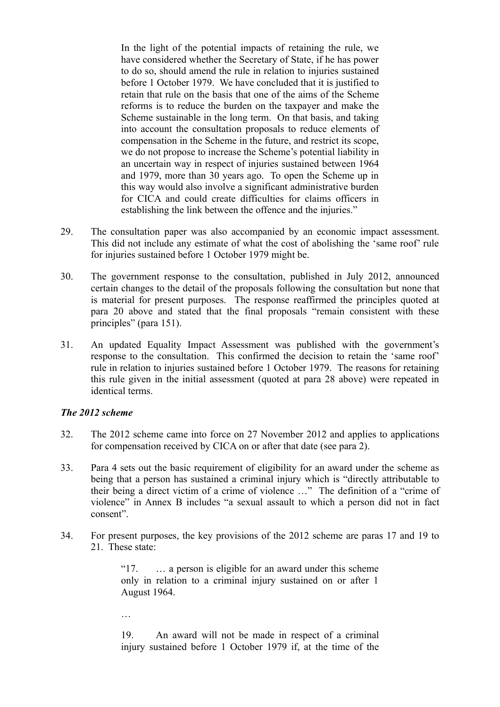In the light of the potential impacts of retaining the rule, we have considered whether the Secretary of State, if he has power to do so, should amend the rule in relation to injuries sustained before 1 October 1979. We have concluded that it is justified to retain that rule on the basis that one of the aims of the Scheme reforms is to reduce the burden on the taxpayer and make the Scheme sustainable in the long term. On that basis, and taking into account the consultation proposals to reduce elements of compensation in the Scheme in the future, and restrict its scope, we do not propose to increase the Scheme's potential liability in an uncertain way in respect of injuries sustained between 1964 and 1979, more than 30 years ago. To open the Scheme up in this way would also involve a significant administrative burden for CICA and could create difficulties for claims officers in establishing the link between the offence and the injuries."

- 29. The consultation paper was also accompanied by an economic impact assessment. This did not include any estimate of what the cost of abolishing the 'same roof' rule for injuries sustained before 1 October 1979 might be.
- 30. The government response to the consultation, published in July 2012, announced certain changes to the detail of the proposals following the consultation but none that is material for present purposes. The response reaffirmed the principles quoted at para 20 above and stated that the final proposals "remain consistent with these principles" (para 151).
- 31. An updated Equality Impact Assessment was published with the government's response to the consultation. This confirmed the decision to retain the 'same roof' rule in relation to injuries sustained before 1 October 1979. The reasons for retaining this rule given in the initial assessment (quoted at para 28 above) were repeated in identical terms.

## *The 2012 scheme*

- 32. The 2012 scheme came into force on 27 November 2012 and applies to applications for compensation received by CICA on or after that date (see para 2).
- 33. Para 4 sets out the basic requirement of eligibility for an award under the scheme as being that a person has sustained a criminal injury which is "directly attributable to their being a direct victim of a crime of violence …" The definition of a "crime of violence" in Annex B includes "a sexual assault to which a person did not in fact consent".
- 34. For present purposes, the key provisions of the 2012 scheme are paras 17 and 19 to 21 These state:

"17. … a person is eligible for an award under this scheme only in relation to a criminal injury sustained on or after 1 August 1964.

…

19. An award will not be made in respect of a criminal injury sustained before 1 October 1979 if, at the time of the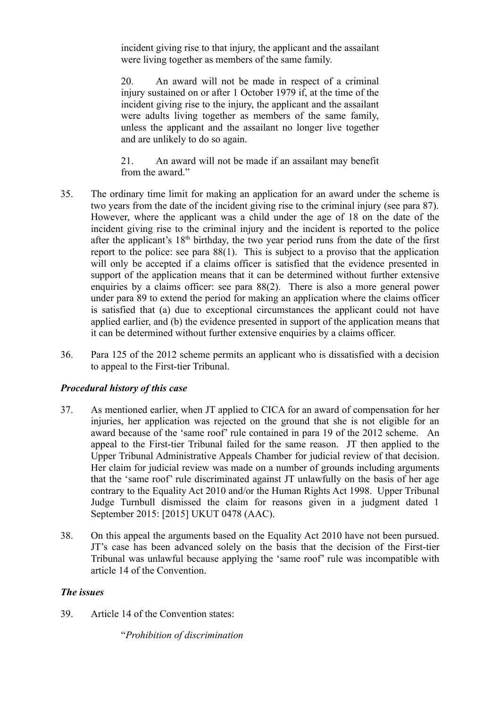incident giving rise to that injury, the applicant and the assailant were living together as members of the same family.

20. An award will not be made in respect of a criminal injury sustained on or after 1 October 1979 if, at the time of the incident giving rise to the injury, the applicant and the assailant were adults living together as members of the same family, unless the applicant and the assailant no longer live together and are unlikely to do so again.

21. An award will not be made if an assailant may benefit from the award."

- 35. The ordinary time limit for making an application for an award under the scheme is two years from the date of the incident giving rise to the criminal injury (see para 87). However, where the applicant was a child under the age of 18 on the date of the incident giving rise to the criminal injury and the incident is reported to the police after the applicant's  $18<sup>th</sup>$  birthday, the two year period runs from the date of the first report to the police: see para 88(1). This is subject to a proviso that the application will only be accepted if a claims officer is satisfied that the evidence presented in support of the application means that it can be determined without further extensive enquiries by a claims officer: see para 88(2). There is also a more general power under para 89 to extend the period for making an application where the claims officer is satisfied that (a) due to exceptional circumstances the applicant could not have applied earlier, and (b) the evidence presented in support of the application means that it can be determined without further extensive enquiries by a claims officer.
- 36. Para 125 of the 2012 scheme permits an applicant who is dissatisfied with a decision to appeal to the First-tier Tribunal.

## *Procedural history of this case*

- 37. As mentioned earlier, when JT applied to CICA for an award of compensation for her injuries, her application was rejected on the ground that she is not eligible for an award because of the 'same roof' rule contained in para 19 of the 2012 scheme. An appeal to the First-tier Tribunal failed for the same reason. JT then applied to the Upper Tribunal Administrative Appeals Chamber for judicial review of that decision. Her claim for judicial review was made on a number of grounds including arguments that the 'same roof' rule discriminated against JT unlawfully on the basis of her age contrary to the Equality Act 2010 and/or the Human Rights Act 1998. Upper Tribunal Judge Turnbull dismissed the claim for reasons given in a judgment dated 1 September 2015: [2015] UKUT 0478 (AAC).
- 38. On this appeal the arguments based on the Equality Act 2010 have not been pursued. JT's case has been advanced solely on the basis that the decision of the First-tier Tribunal was unlawful because applying the 'same roof' rule was incompatible with article 14 of the Convention.

## *The issues*

39. Article 14 of the Convention states:

"*Prohibition of discrimination*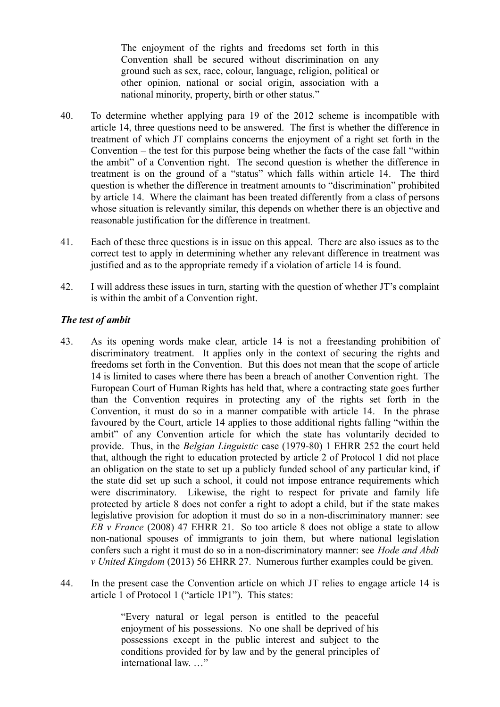The enjoyment of the rights and freedoms set forth in this Convention shall be secured without discrimination on any ground such as sex, race, colour, language, religion, political or other opinion, national or social origin, association with a national minority, property, birth or other status."

- 40. To determine whether applying para 19 of the 2012 scheme is incompatible with article 14, three questions need to be answered. The first is whether the difference in treatment of which JT complains concerns the enjoyment of a right set forth in the Convention – the test for this purpose being whether the facts of the case fall "within the ambit" of a Convention right. The second question is whether the difference in treatment is on the ground of a "status" which falls within article 14. The third question is whether the difference in treatment amounts to "discrimination" prohibited by article 14. Where the claimant has been treated differently from a class of persons whose situation is relevantly similar, this depends on whether there is an objective and reasonable justification for the difference in treatment.
- 41. Each of these three questions is in issue on this appeal. There are also issues as to the correct test to apply in determining whether any relevant difference in treatment was justified and as to the appropriate remedy if a violation of article 14 is found.
- 42. I will address these issues in turn, starting with the question of whether JT's complaint is within the ambit of a Convention right.

## *The test of ambit*

- 43. As its opening words make clear, article 14 is not a freestanding prohibition of discriminatory treatment. It applies only in the context of securing the rights and freedoms set forth in the Convention. But this does not mean that the scope of article 14 is limited to cases where there has been a breach of another Convention right. The European Court of Human Rights has held that, where a contracting state goes further than the Convention requires in protecting any of the rights set forth in the Convention, it must do so in a manner compatible with article 14. In the phrase favoured by the Court, article 14 applies to those additional rights falling "within the ambit" of any Convention article for which the state has voluntarily decided to provide. Thus, in the *Belgian Linguistic* case (1979-80) 1 EHRR 252 the court held that, although the right to education protected by article 2 of Protocol 1 did not place an obligation on the state to set up a publicly funded school of any particular kind, if the state did set up such a school, it could not impose entrance requirements which were discriminatory. Likewise, the right to respect for private and family life protected by article 8 does not confer a right to adopt a child, but if the state makes legislative provision for adoption it must do so in a non-discriminatory manner: see *EB v France* (2008) 47 EHRR 21. So too article 8 does not oblige a state to allow non-national spouses of immigrants to join them, but where national legislation confers such a right it must do so in a non-discriminatory manner: see *Hode and Abdi v United Kingdom* (2013) 56 EHRR 27. Numerous further examples could be given.
- 44. In the present case the Convention article on which JT relies to engage article 14 is article 1 of Protocol 1 ("article 1P1"). This states:

"Every natural or legal person is entitled to the peaceful enjoyment of his possessions. No one shall be deprived of his possessions except in the public interest and subject to the conditions provided for by law and by the general principles of international law. "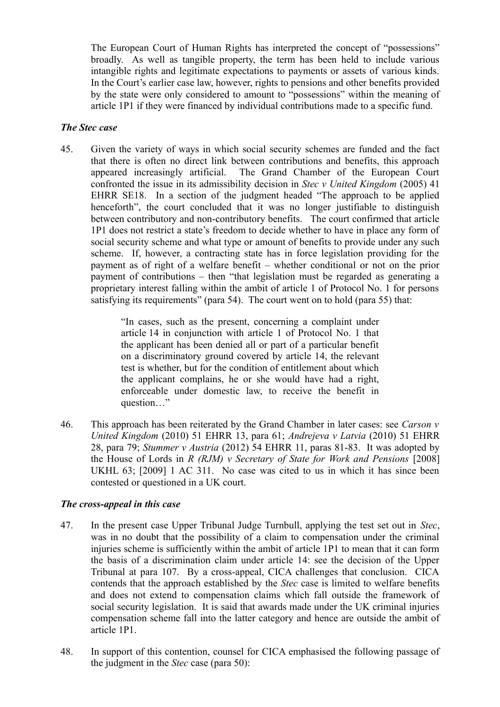The European Court of Human Rights has interpreted the concept of "possessions" broadly. As well as tangible property, the term has been held to include various intangible rights and legitimate expectations to payments or assets of various kinds. In the Court's earlier case law, however, rights to pensions and other benefits provided by the state were only considered to amount to "possessions" within the meaning of article 1P1 if they were financed by individual contributions made to a specific fund.

## *The Stec case*

45. Given the variety of ways in which social security schemes are funded and the fact that there is often no direct link between contributions and benefits, this approach appeared increasingly artificial. The Grand Chamber of the European Court confronted the issue in its admissibility decision in *Stec v United Kingdom* (2005) 41 EHRR SE18. In a section of the judgment headed "The approach to be applied henceforth", the court concluded that it was no longer justifiable to distinguish between contributory and non-contributory benefits. The court confirmed that article 1P1 does not restrict a state's freedom to decide whether to have in place any form of social security scheme and what type or amount of benefits to provide under any such scheme. If, however, a contracting state has in force legislation providing for the payment as of right of a welfare benefit – whether conditional or not on the prior payment of contributions – then "that legislation must be regarded as generating a proprietary interest falling within the ambit of article 1 of Protocol No. 1 for persons satisfying its requirements" (para 54). The court went on to hold (para 55) that:

> "In cases, such as the present, concerning a complaint under article 14 in conjunction with article 1 of Protocol No. 1 that the applicant has been denied all or part of a particular benefit on a discriminatory ground covered by article 14, the relevant test is whether, but for the condition of entitlement about which the applicant complains, he or she would have had a right, enforceable under domestic law, to receive the benefit in question…"

46. This approach has been reiterated by the Grand Chamber in later cases: see *Carson v United Kingdom* (2010) 51 EHRR 13, para 61; *Andrejeva v Latvia* (2010) 51 EHRR 28, para 79; *Stummer v Austria* (2012) 54 EHRR 11, paras 81-83. It was adopted by the House of Lords in *R (RJM) v Secretary of State for Work and Pensions* [2008] UKHL 63; [2009] 1 AC 311. No case was cited to us in which it has since been contested or questioned in a UK court.

## *The cross-appeal in this case*

- 47. In the present case Upper Tribunal Judge Turnbull, applying the test set out in *Stec*, was in no doubt that the possibility of a claim to compensation under the criminal injuries scheme is sufficiently within the ambit of article 1P1 to mean that it can form the basis of a discrimination claim under article 14: see the decision of the Upper Tribunal at para 107. By a cross-appeal, CICA challenges that conclusion. CICA contends that the approach established by the *Stec* case is limited to welfare benefits and does not extend to compensation claims which fall outside the framework of social security legislation. It is said that awards made under the UK criminal injuries compensation scheme fall into the latter category and hence are outside the ambit of article 1P1.
- 48. In support of this contention, counsel for CICA emphasised the following passage of the judgment in the *Stec* case (para 50):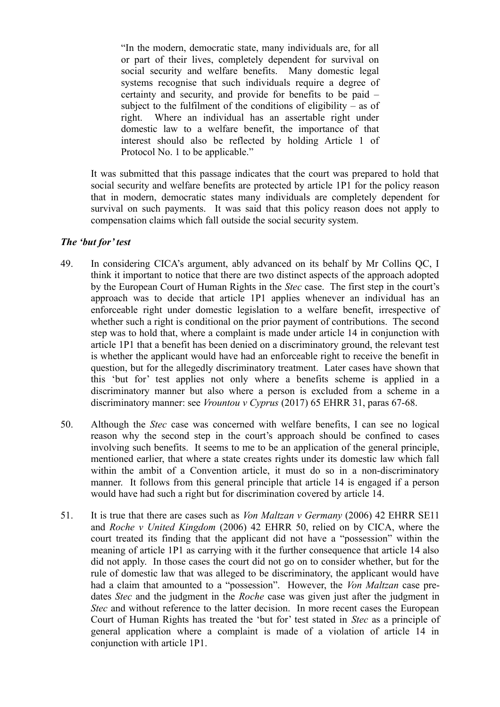"In the modern, democratic state, many individuals are, for all or part of their lives, completely dependent for survival on social security and welfare benefits. Many domestic legal systems recognise that such individuals require a degree of certainty and security, and provide for benefits to be paid – subject to the fulfilment of the conditions of eligibility – as of right. Where an individual has an assertable right under domestic law to a welfare benefit, the importance of that interest should also be reflected by holding Article 1 of Protocol No. 1 to be applicable."

It was submitted that this passage indicates that the court was prepared to hold that social security and welfare benefits are protected by article 1P1 for the policy reason that in modern, democratic states many individuals are completely dependent for survival on such payments. It was said that this policy reason does not apply to compensation claims which fall outside the social security system.

## *The 'but for' test*

- 49. In considering CICA's argument, ably advanced on its behalf by Mr Collins QC, I think it important to notice that there are two distinct aspects of the approach adopted by the European Court of Human Rights in the *Stec* case. The first step in the court's approach was to decide that article 1P1 applies whenever an individual has an enforceable right under domestic legislation to a welfare benefit, irrespective of whether such a right is conditional on the prior payment of contributions. The second step was to hold that, where a complaint is made under article 14 in conjunction with article 1P1 that a benefit has been denied on a discriminatory ground, the relevant test is whether the applicant would have had an enforceable right to receive the benefit in question, but for the allegedly discriminatory treatment. Later cases have shown that this 'but for' test applies not only where a benefits scheme is applied in a discriminatory manner but also where a person is excluded from a scheme in a discriminatory manner: see *Vrountou v Cyprus* (2017) 65 EHRR 31, paras 67-68.
- 50. Although the *Stec* case was concerned with welfare benefits, I can see no logical reason why the second step in the court's approach should be confined to cases involving such benefits. It seems to me to be an application of the general principle, mentioned earlier, that where a state creates rights under its domestic law which fall within the ambit of a Convention article, it must do so in a non-discriminatory manner. It follows from this general principle that article 14 is engaged if a person would have had such a right but for discrimination covered by article 14.
- 51. It is true that there are cases such as *Von Maltzan v Germany* (2006) 42 EHRR SE11 and *Roche v United Kingdom* (2006) 42 EHRR 50, relied on by CICA, where the court treated its finding that the applicant did not have a "possession" within the meaning of article 1P1 as carrying with it the further consequence that article 14 also did not apply. In those cases the court did not go on to consider whether, but for the rule of domestic law that was alleged to be discriminatory, the applicant would have had a claim that amounted to a "possession". However, the *Von Maltzan* case predates *Stec* and the judgment in the *Roche* case was given just after the judgment in *Stec* and without reference to the latter decision. In more recent cases the European Court of Human Rights has treated the 'but for' test stated in *Stec* as a principle of general application where a complaint is made of a violation of article 14 in conjunction with article 1P1.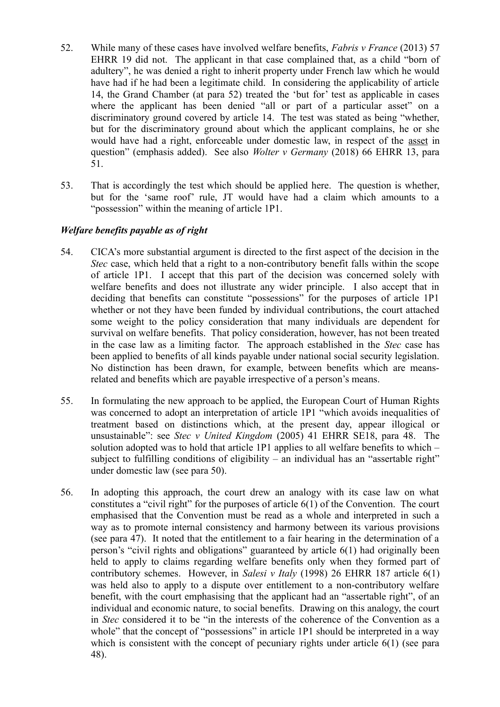- 52. While many of these cases have involved welfare benefits, *Fabris v France* (2013) 57 EHRR 19 did not. The applicant in that case complained that, as a child "born of adultery", he was denied a right to inherit property under French law which he would have had if he had been a legitimate child. In considering the applicability of article 14, the Grand Chamber (at para 52) treated the 'but for' test as applicable in cases where the applicant has been denied "all or part of a particular asset" on a discriminatory ground covered by article 14. The test was stated as being "whether, but for the discriminatory ground about which the applicant complains, he or she would have had a right, enforceable under domestic law, in respect of the asset in question" (emphasis added). See also *Wolter v Germany* (2018) 66 EHRR 13, para 51.
- 53. That is accordingly the test which should be applied here. The question is whether, but for the 'same roof' rule, JT would have had a claim which amounts to a "possession" within the meaning of article 1P1.

## *Welfare benefits payable as of right*

- 54. CICA's more substantial argument is directed to the first aspect of the decision in the *Stec* case, which held that a right to a non-contributory benefit falls within the scope of article 1P1. I accept that this part of the decision was concerned solely with welfare benefits and does not illustrate any wider principle. I also accept that in deciding that benefits can constitute "possessions" for the purposes of article 1P1 whether or not they have been funded by individual contributions, the court attached some weight to the policy consideration that many individuals are dependent for survival on welfare benefits. That policy consideration, however, has not been treated in the case law as a limiting factor. The approach established in the *Stec* case has been applied to benefits of all kinds payable under national social security legislation. No distinction has been drawn, for example, between benefits which are meansrelated and benefits which are payable irrespective of a person's means.
- 55. In formulating the new approach to be applied, the European Court of Human Rights was concerned to adopt an interpretation of article 1P1 "which avoids inequalities of treatment based on distinctions which, at the present day, appear illogical or unsustainable": see *Stec v United Kingdom* (2005) 41 EHRR SE18, para 48. The solution adopted was to hold that article 1P1 applies to all welfare benefits to which – subject to fulfilling conditions of eligibility – an individual has an "assertable right" under domestic law (see para 50).
- 56. In adopting this approach, the court drew an analogy with its case law on what constitutes a "civil right" for the purposes of article 6(1) of the Convention. The court emphasised that the Convention must be read as a whole and interpreted in such a way as to promote internal consistency and harmony between its various provisions (see para 47). It noted that the entitlement to a fair hearing in the determination of a person's "civil rights and obligations" guaranteed by article 6(1) had originally been held to apply to claims regarding welfare benefits only when they formed part of contributory schemes. However, in *Salesi v Italy* (1998) 26 EHRR 187 article 6(1) was held also to apply to a dispute over entitlement to a non-contributory welfare benefit, with the court emphasising that the applicant had an "assertable right", of an individual and economic nature, to social benefits. Drawing on this analogy, the court in *Stec* considered it to be "in the interests of the coherence of the Convention as a whole" that the concept of "possessions" in article 1P1 should be interpreted in a way which is consistent with the concept of pecuniary rights under article 6(1) (see para 48).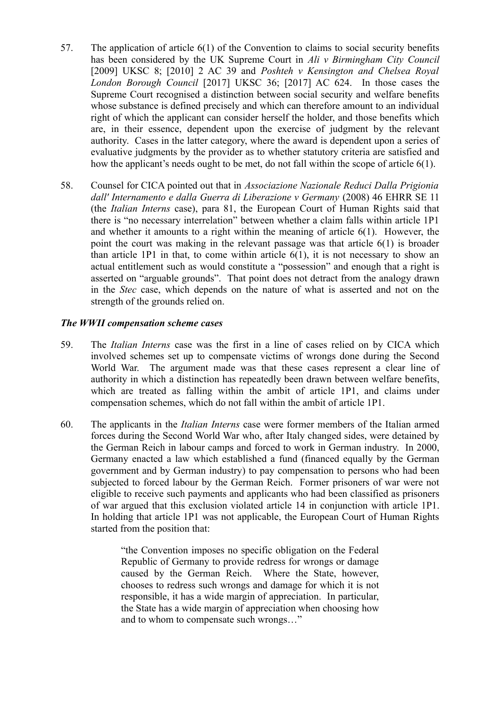- 57. The application of article 6(1) of the Convention to claims to social security benefits has been considered by the UK Supreme Court in *Ali v Birmingham City Council* [2009] UKSC 8; [2010] 2 AC 39 and *Poshteh v Kensington and Chelsea Royal London Borough Council* [2017] UKSC 36; [2017] AC 624. In those cases the Supreme Court recognised a distinction between social security and welfare benefits whose substance is defined precisely and which can therefore amount to an individual right of which the applicant can consider herself the holder, and those benefits which are, in their essence, dependent upon the exercise of judgment by the relevant authority. Cases in the latter category, where the award is dependent upon a series of evaluative judgments by the provider as to whether statutory criteria are satisfied and how the applicant's needs ought to be met, do not fall within the scope of article 6(1).
- 58. Counsel for CICA pointed out that in *Associazione Nazionale Reduci Dalla Prigionia dall' Internamento e dalla Guerra di Liberazione v Germany* (2008) 46 EHRR SE 11 (the *Italian Interns* case), para 81, the European Court of Human Rights said that there is "no necessary interrelation" between whether a claim falls within article 1P1 and whether it amounts to a right within the meaning of article 6(1). However, the point the court was making in the relevant passage was that article 6(1) is broader than article 1P1 in that, to come within article 6(1), it is not necessary to show an actual entitlement such as would constitute a "possession" and enough that a right is asserted on "arguable grounds". That point does not detract from the analogy drawn in the *Stec* case, which depends on the nature of what is asserted and not on the strength of the grounds relied on.

### *The WWII compensation scheme cases*

- 59. The *Italian Interns* case was the first in a line of cases relied on by CICA which involved schemes set up to compensate victims of wrongs done during the Second World War. The argument made was that these cases represent a clear line of authority in which a distinction has repeatedly been drawn between welfare benefits, which are treated as falling within the ambit of article 1P1, and claims under compensation schemes, which do not fall within the ambit of article 1P1.
- 60. The applicants in the *Italian Interns* case were former members of the Italian armed forces during the Second World War who, after Italy changed sides, were detained by the German Reich in labour camps and forced to work in German industry. In 2000, Germany enacted a law which established a fund (financed equally by the German government and by German industry) to pay compensation to persons who had been subjected to forced labour by the German Reich. Former prisoners of war were not eligible to receive such payments and applicants who had been classified as prisoners of war argued that this exclusion violated article 14 in conjunction with article 1P1. In holding that article 1P1 was not applicable, the European Court of Human Rights started from the position that:

"the Convention imposes no specific obligation on the Federal Republic of Germany to provide redress for wrongs or damage caused by the German Reich. Where the State, however, chooses to redress such wrongs and damage for which it is not responsible, it has a wide margin of appreciation. In particular, the State has a wide margin of appreciation when choosing how and to whom to compensate such wrongs…"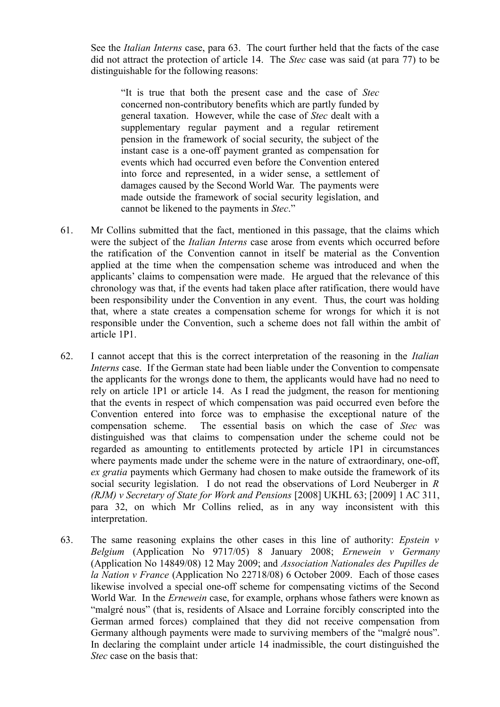See the *Italian Interns* case, para 63. The court further held that the facts of the case did not attract the protection of article 14. The *Stec* case was said (at para 77) to be distinguishable for the following reasons:

"It is true that both the present case and the case of *Stec* concerned non-contributory benefits which are partly funded by general taxation. However, while the case of *Stec* dealt with a supplementary regular payment and a regular retirement pension in the framework of social security, the subject of the instant case is a one-off payment granted as compensation for events which had occurred even before the Convention entered into force and represented, in a wider sense, a settlement of damages caused by the Second World War. The payments were made outside the framework of social security legislation, and cannot be likened to the payments in *Stec*."

- 61. Mr Collins submitted that the fact, mentioned in this passage, that the claims which were the subject of the *Italian Interns* case arose from events which occurred before the ratification of the Convention cannot in itself be material as the Convention applied at the time when the compensation scheme was introduced and when the applicants' claims to compensation were made. He argued that the relevance of this chronology was that, if the events had taken place after ratification, there would have been responsibility under the Convention in any event. Thus, the court was holding that, where a state creates a compensation scheme for wrongs for which it is not responsible under the Convention, such a scheme does not fall within the ambit of article 1P1.
- 62. I cannot accept that this is the correct interpretation of the reasoning in the *Italian Interns* case. If the German state had been liable under the Convention to compensate the applicants for the wrongs done to them, the applicants would have had no need to rely on article 1P1 or article 14. As I read the judgment, the reason for mentioning that the events in respect of which compensation was paid occurred even before the Convention entered into force was to emphasise the exceptional nature of the compensation scheme. The essential basis on which the case of *Stec* was distinguished was that claims to compensation under the scheme could not be regarded as amounting to entitlements protected by article 1P1 in circumstances where payments made under the scheme were in the nature of extraordinary, one-off, *ex gratia* payments which Germany had chosen to make outside the framework of its social security legislation. I do not read the observations of Lord Neuberger in *R (RJM) v Secretary of State for Work and Pensions* [2008] UKHL 63; [2009] 1 AC 311, para 32, on which Mr Collins relied, as in any way inconsistent with this interpretation.
- 63. The same reasoning explains the other cases in this line of authority: *Epstein v Belgium* (Application No 9717/05) 8 January 2008; *Ernewein v Germany* (Application No 14849/08) 12 May 2009; and *Association Nationales des Pupilles de la Nation v France* (Application No 22718/08) 6 October 2009. Each of those cases likewise involved a special one-off scheme for compensating victims of the Second World War. In the *Ernewein* case, for example, orphans whose fathers were known as "malgré nous" (that is, residents of Alsace and Lorraine forcibly conscripted into the German armed forces) complained that they did not receive compensation from Germany although payments were made to surviving members of the "malgré nous". In declaring the complaint under article 14 inadmissible, the court distinguished the *Stec* case on the basis that: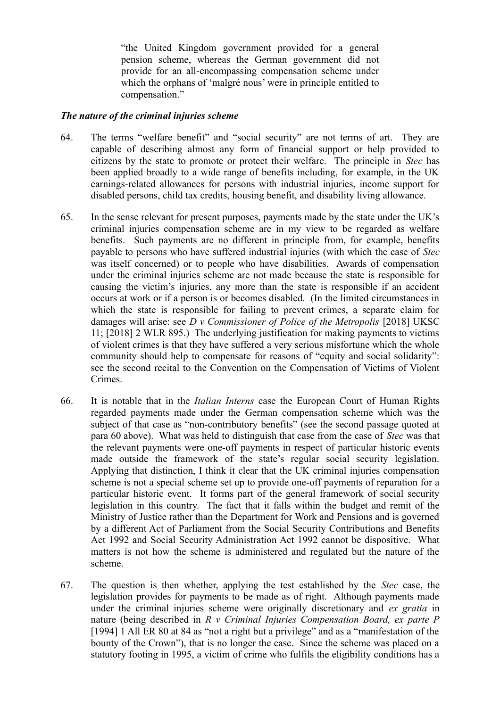"the United Kingdom government provided for a general pension scheme, whereas the German government did not provide for an all-encompassing compensation scheme under which the orphans of 'malgré nous' were in principle entitled to compensation."

### *The nature of the criminal injuries scheme*

- 64. The terms "welfare benefit" and "social security" are not terms of art. They are capable of describing almost any form of financial support or help provided to citizens by the state to promote or protect their welfare. The principle in *Stec* has been applied broadly to a wide range of benefits including, for example, in the UK earnings-related allowances for persons with industrial injuries, income support for disabled persons, child tax credits, housing benefit, and disability living allowance.
- 65. In the sense relevant for present purposes, payments made by the state under the UK's criminal injuries compensation scheme are in my view to be regarded as welfare benefits. Such payments are no different in principle from, for example, benefits payable to persons who have suffered industrial injuries (with which the case of *Stec* was itself concerned) or to people who have disabilities. Awards of compensation under the criminal injuries scheme are not made because the state is responsible for causing the victim's injuries, any more than the state is responsible if an accident occurs at work or if a person is or becomes disabled. (In the limited circumstances in which the state is responsible for failing to prevent crimes, a separate claim for damages will arise: see *D v Commissioner of Police of the Metropolis* [2018] UKSC 11; [2018] 2 WLR 895.) The underlying justification for making payments to victims of violent crimes is that they have suffered a very serious misfortune which the whole community should help to compensate for reasons of "equity and social solidarity": see the second recital to the Convention on the Compensation of Victims of Violent Crimes.
- 66. It is notable that in the *Italian Interns* case the European Court of Human Rights regarded payments made under the German compensation scheme which was the subject of that case as "non-contributory benefits" (see the second passage quoted at para 60 above). What was held to distinguish that case from the case of *Stec* was that the relevant payments were one-off payments in respect of particular historic events made outside the framework of the state's regular social security legislation. Applying that distinction, I think it clear that the UK criminal injuries compensation scheme is not a special scheme set up to provide one-off payments of reparation for a particular historic event. It forms part of the general framework of social security legislation in this country. The fact that it falls within the budget and remit of the Ministry of Justice rather than the Department for Work and Pensions and is governed by a different Act of Parliament from the Social Security Contributions and Benefits Act 1992 and Social Security Administration Act 1992 cannot be dispositive. What matters is not how the scheme is administered and regulated but the nature of the scheme.
- 67. The question is then whether, applying the test established by the *Stec* case, the legislation provides for payments to be made as of right. Although payments made under the criminal injuries scheme were originally discretionary and *ex gratia* in nature (being described in *R v Criminal Injuries Compensation Board, ex parte P* [1994] 1 All ER 80 at 84 as "not a right but a privilege" and as a "manifestation of the bounty of the Crown"), that is no longer the case. Since the scheme was placed on a statutory footing in 1995, a victim of crime who fulfils the eligibility conditions has a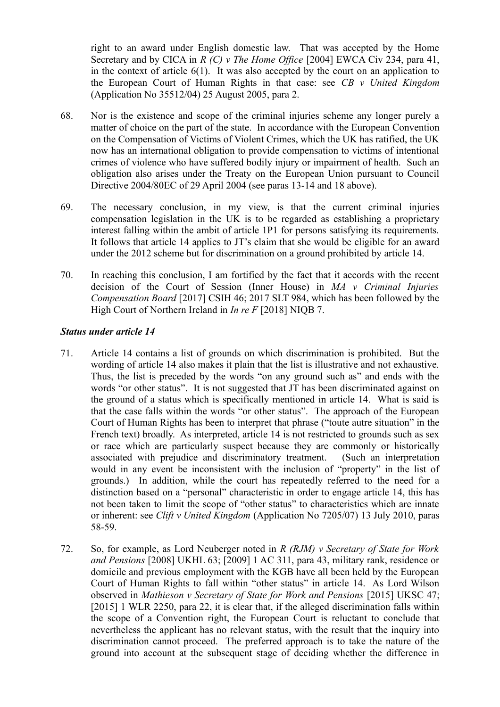right to an award under English domestic law. That was accepted by the Home Secretary and by CICA in *R (C) v The Home Office* [2004] EWCA Civ 234, para 41, in the context of article 6(1). It was also accepted by the court on an application to the European Court of Human Rights in that case: see *CB v United Kingdom* (Application No 35512/04) 25 August 2005, para 2.

- 68. Nor is the existence and scope of the criminal injuries scheme any longer purely a matter of choice on the part of the state. In accordance with the European Convention on the Compensation of Victims of Violent Crimes, which the UK has ratified, the UK now has an international obligation to provide compensation to victims of intentional crimes of violence who have suffered bodily injury or impairment of health. Such an obligation also arises under the Treaty on the European Union pursuant to Council Directive 2004/80EC of 29 April 2004 (see paras 13-14 and 18 above).
- 69. The necessary conclusion, in my view, is that the current criminal injuries compensation legislation in the UK is to be regarded as establishing a proprietary interest falling within the ambit of article 1P1 for persons satisfying its requirements. It follows that article 14 applies to JT's claim that she would be eligible for an award under the 2012 scheme but for discrimination on a ground prohibited by article 14.
- 70. In reaching this conclusion, I am fortified by the fact that it accords with the recent decision of the Court of Session (Inner House) in *MA v Criminal Injuries Compensation Board* [2017] CSIH 46; 2017 SLT 984, which has been followed by the High Court of Northern Ireland in *In re F* [2018] NIQB 7.

## *Status under article 14*

- 71. Article 14 contains a list of grounds on which discrimination is prohibited. But the wording of article 14 also makes it plain that the list is illustrative and not exhaustive. Thus, the list is preceded by the words "on any ground such as" and ends with the words "or other status". It is not suggested that JT has been discriminated against on the ground of a status which is specifically mentioned in article 14. What is said is that the case falls within the words "or other status". The approach of the European Court of Human Rights has been to interpret that phrase ("toute autre situation" in the French text) broadly. As interpreted, article 14 is not restricted to grounds such as sex or race which are particularly suspect because they are commonly or historically associated with prejudice and discriminatory treatment. (Such an interpretation would in any event be inconsistent with the inclusion of "property" in the list of grounds.) In addition, while the court has repeatedly referred to the need for a distinction based on a "personal" characteristic in order to engage article 14, this has not been taken to limit the scope of "other status" to characteristics which are innate or inherent: see *Clift v United Kingdom* (Application No 7205/07) 13 July 2010, paras 58-59.
- 72. So, for example, as Lord Neuberger noted in *R (RJM) v Secretary of State for Work and Pensions* [2008] UKHL 63; [2009] 1 AC 311, para 43, military rank, residence or domicile and previous employment with the KGB have all been held by the European Court of Human Rights to fall within "other status" in article 14. As Lord Wilson observed in *Mathieson v Secretary of State for Work and Pensions* [2015] UKSC 47; [2015] 1 WLR 2250, para 22, it is clear that, if the alleged discrimination falls within the scope of a Convention right, the European Court is reluctant to conclude that nevertheless the applicant has no relevant status, with the result that the inquiry into discrimination cannot proceed. The preferred approach is to take the nature of the ground into account at the subsequent stage of deciding whether the difference in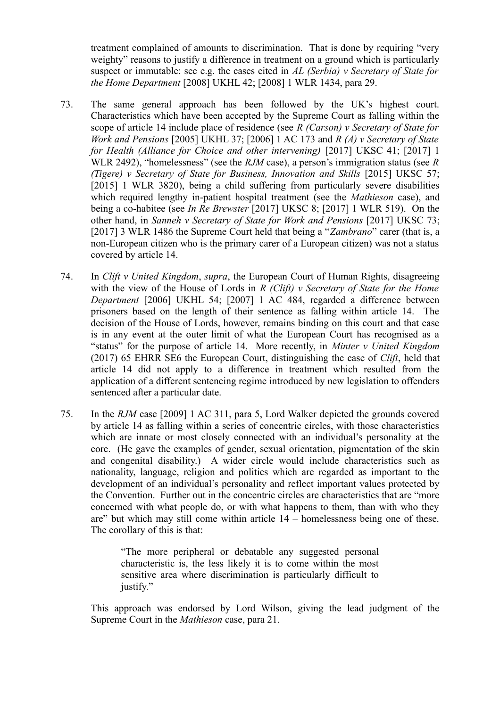treatment complained of amounts to discrimination. That is done by requiring "very weighty" reasons to justify a difference in treatment on a ground which is particularly suspect or immutable: see e.g. the cases cited in *AL (Serbia) v Secretary of State for the Home Department* [2008] UKHL 42; [2008] 1 WLR 1434, para 29.

- 73. The same general approach has been followed by the UK's highest court. Characteristics which have been accepted by the Supreme Court as falling within the scope of article 14 include place of residence (see *R (Carson) v Secretary of State for Work and Pensions* [2005] UKHL 37; [2006] 1 AC 173 and *R (A) v Secretary of State for Health (Alliance for Choice and other intervening)* [2017] UKSC 41; [2017] 1 WLR 2492), "homelessness" (see the *RJM* case), a person's immigration status (see *R (Tigere) v Secretary of State for Business, Innovation and Skills* [2015] UKSC 57; [2015] 1 WLR 3820), being a child suffering from particularly severe disabilities which required lengthy in-patient hospital treatment (see the *Mathieson* case), and being a co-habitee (see *In Re Brewster* [2017] UKSC 8; [2017] 1 WLR 519). On the other hand, in *Sanneh v Secretary of State for Work and Pensions* [2017] UKSC 73; [2017] 3 WLR 1486 the Supreme Court held that being a "*Zambrano*" carer (that is, a non-European citizen who is the primary carer of a European citizen) was not a status covered by article 14.
- 74. In *Clift v United Kingdom*, *supra*, the European Court of Human Rights, disagreeing with the view of the House of Lords in *R (Clift) v Secretary of State for the Home Department* [2006] UKHL 54; [2007] 1 AC 484, regarded a difference between prisoners based on the length of their sentence as falling within article 14. The decision of the House of Lords, however, remains binding on this court and that case is in any event at the outer limit of what the European Court has recognised as a "status" for the purpose of article 14. More recently, in *Minter v United Kingdom* (2017) 65 EHRR SE6 the European Court, distinguishing the case of *Clift*, held that article 14 did not apply to a difference in treatment which resulted from the application of a different sentencing regime introduced by new legislation to offenders sentenced after a particular date.
- 75. In the *RJM* case [2009] 1 AC 311, para 5, Lord Walker depicted the grounds covered by article 14 as falling within a series of concentric circles, with those characteristics which are innate or most closely connected with an individual's personality at the core. (He gave the examples of gender, sexual orientation, pigmentation of the skin and congenital disability.) A wider circle would include characteristics such as nationality, language, religion and politics which are regarded as important to the development of an individual's personality and reflect important values protected by the Convention. Further out in the concentric circles are characteristics that are "more concerned with what people do, or with what happens to them, than with who they are" but which may still come within article 14 – homelessness being one of these. The corollary of this is that:

"The more peripheral or debatable any suggested personal characteristic is, the less likely it is to come within the most sensitive area where discrimination is particularly difficult to justify."

This approach was endorsed by Lord Wilson, giving the lead judgment of the Supreme Court in the *Mathieson* case, para 21.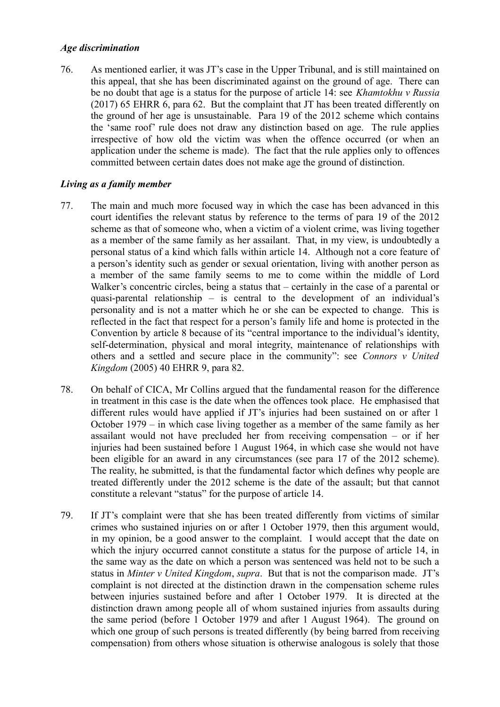### *Age discrimination*

76. As mentioned earlier, it was JT's case in the Upper Tribunal, and is still maintained on this appeal, that she has been discriminated against on the ground of age. There can be no doubt that age is a status for the purpose of article 14: see *Khamtokhu v Russia* (2017) 65 EHRR 6, para 62. But the complaint that JT has been treated differently on the ground of her age is unsustainable. Para 19 of the 2012 scheme which contains the 'same roof' rule does not draw any distinction based on age. The rule applies irrespective of how old the victim was when the offence occurred (or when an application under the scheme is made). The fact that the rule applies only to offences committed between certain dates does not make age the ground of distinction.

## *Living as a family member*

- 77. The main and much more focused way in which the case has been advanced in this court identifies the relevant status by reference to the terms of para 19 of the 2012 scheme as that of someone who, when a victim of a violent crime, was living together as a member of the same family as her assailant. That, in my view, is undoubtedly a personal status of a kind which falls within article 14. Although not a core feature of a person's identity such as gender or sexual orientation, living with another person as a member of the same family seems to me to come within the middle of Lord Walker's concentric circles, being a status that – certainly in the case of a parental or quasi-parental relationship – is central to the development of an individual's personality and is not a matter which he or she can be expected to change. This is reflected in the fact that respect for a person's family life and home is protected in the Convention by article 8 because of its "central importance to the individual's identity, self-determination, physical and moral integrity, maintenance of relationships with others and a settled and secure place in the community": see *Connors v United Kingdom* (2005) 40 EHRR 9, para 82.
- 78. On behalf of CICA, Mr Collins argued that the fundamental reason for the difference in treatment in this case is the date when the offences took place. He emphasised that different rules would have applied if JT's injuries had been sustained on or after 1 October 1979 – in which case living together as a member of the same family as her assailant would not have precluded her from receiving compensation – or if her injuries had been sustained before 1 August 1964, in which case she would not have been eligible for an award in any circumstances (see para 17 of the 2012 scheme). The reality, he submitted, is that the fundamental factor which defines why people are treated differently under the 2012 scheme is the date of the assault; but that cannot constitute a relevant "status" for the purpose of article 14.
- 79. If JT's complaint were that she has been treated differently from victims of similar crimes who sustained injuries on or after 1 October 1979, then this argument would, in my opinion, be a good answer to the complaint. I would accept that the date on which the injury occurred cannot constitute a status for the purpose of article 14, in the same way as the date on which a person was sentenced was held not to be such a status in *Minter v United Kingdom*, *supra*. But that is not the comparison made. JT's complaint is not directed at the distinction drawn in the compensation scheme rules between injuries sustained before and after 1 October 1979. It is directed at the distinction drawn among people all of whom sustained injuries from assaults during the same period (before 1 October 1979 and after 1 August 1964). The ground on which one group of such persons is treated differently (by being barred from receiving compensation) from others whose situation is otherwise analogous is solely that those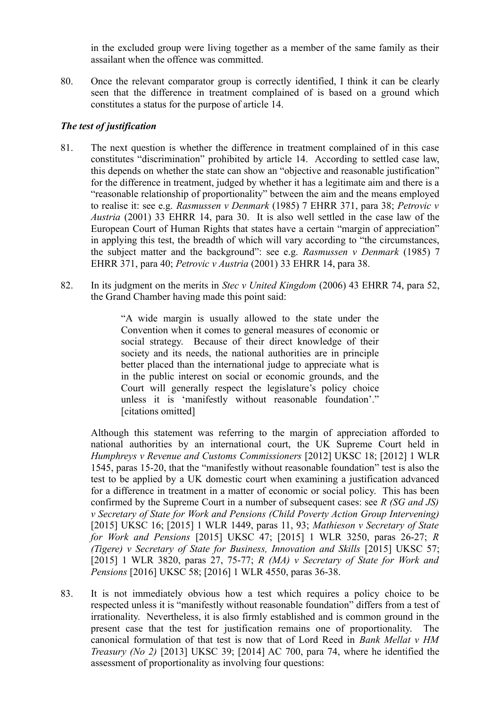in the excluded group were living together as a member of the same family as their assailant when the offence was committed.

80. Once the relevant comparator group is correctly identified, I think it can be clearly seen that the difference in treatment complained of is based on a ground which constitutes a status for the purpose of article 14.

## *The test of justification*

- 81. The next question is whether the difference in treatment complained of in this case constitutes "discrimination" prohibited by article 14. According to settled case law, this depends on whether the state can show an "objective and reasonable justification" for the difference in treatment, judged by whether it has a legitimate aim and there is a "reasonable relationship of proportionality" between the aim and the means employed to realise it: see e.g. *Rasmussen v Denmark* (1985) 7 EHRR 371, para 38; *Petrovic v Austria* (2001) 33 EHRR 14, para 30. It is also well settled in the case law of the European Court of Human Rights that states have a certain "margin of appreciation" in applying this test, the breadth of which will vary according to "the circumstances, the subject matter and the background": see e.g. *Rasmussen v Denmark* (1985) 7 EHRR 371, para 40; *Petrovic v Austria* (2001) 33 EHRR 14, para 38.
- 82. In its judgment on the merits in *Stec v United Kingdom* (2006) 43 EHRR 74, para 52, the Grand Chamber having made this point said:

"A wide margin is usually allowed to the state under the Convention when it comes to general measures of economic or social strategy. Because of their direct knowledge of their society and its needs, the national authorities are in principle better placed than the international judge to appreciate what is in the public interest on social or economic grounds, and the Court will generally respect the legislature's policy choice unless it is 'manifestly without reasonable foundation'." [citations omitted]

Although this statement was referring to the margin of appreciation afforded to national authorities by an international court, the UK Supreme Court held in *Humphreys v Revenue and Customs Commissioners* [2012] UKSC 18; [2012] 1 WLR 1545, paras 15-20, that the "manifestly without reasonable foundation" test is also the test to be applied by a UK domestic court when examining a justification advanced for a difference in treatment in a matter of economic or social policy. This has been confirmed by the Supreme Court in a number of subsequent cases: see *R (SG and JS) v Secretary of State for Work and Pensions (Child Poverty Action Group Intervening)* [2015] UKSC 16; [2015] 1 WLR 1449, paras 11, 93; *Mathieson v Secretary of State for Work and Pensions* [2015] UKSC 47; [2015] 1 WLR 3250, paras 26-27; *R (Tigere) v Secretary of State for Business, Innovation and Skills* [2015] UKSC 57; [2015] 1 WLR 3820, paras 27, 75-77; *R (MA) v Secretary of State for Work and Pensions* [2016] UKSC 58; [2016] 1 WLR 4550, paras 36-38.

83. It is not immediately obvious how a test which requires a policy choice to be respected unless it is "manifestly without reasonable foundation" differs from a test of irrationality. Nevertheless, it is also firmly established and is common ground in the present case that the test for justification remains one of proportionality. The canonical formulation of that test is now that of Lord Reed in *Bank Mellat v HM Treasury (No 2)* [2013] UKSC 39; [2014] AC 700, para 74, where he identified the assessment of proportionality as involving four questions: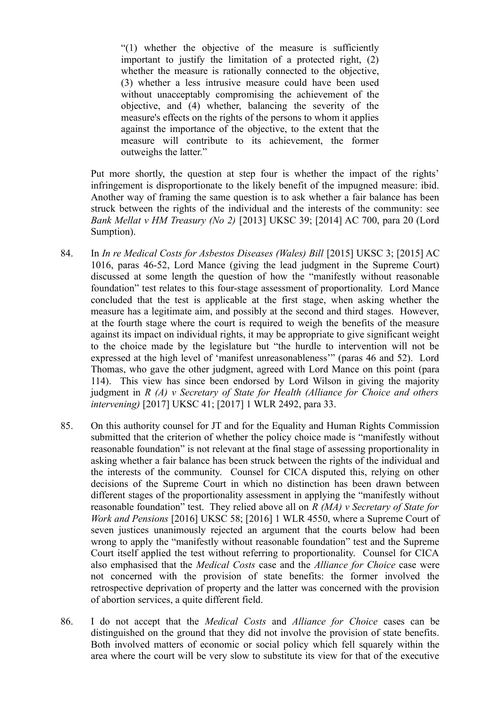"(1) whether the objective of the measure is sufficiently important to justify the limitation of a protected right, (2) whether the measure is rationally connected to the objective, (3) whether a less intrusive measure could have been used without unacceptably compromising the achievement of the objective, and (4) whether, balancing the severity of the measure's effects on the rights of the persons to whom it applies against the importance of the objective, to the extent that the measure will contribute to its achievement, the former outweighs the latter."

Put more shortly, the question at step four is whether the impact of the rights' infringement is disproportionate to the likely benefit of the impugned measure: ibid. Another way of framing the same question is to ask whether a fair balance has been struck between the rights of the individual and the interests of the community: see *Bank Mellat v HM Treasury (No 2)* [2013] UKSC 39; [2014] AC 700, para 20 (Lord Sumption).

- 84. In *In re Medical Costs for Asbestos Diseases (Wales) Bill* [2015] UKSC 3; [2015] AC 1016, paras 46-52, Lord Mance (giving the lead judgment in the Supreme Court) discussed at some length the question of how the "manifestly without reasonable foundation" test relates to this four-stage assessment of proportionality. Lord Mance concluded that the test is applicable at the first stage, when asking whether the measure has a legitimate aim, and possibly at the second and third stages. However, at the fourth stage where the court is required to weigh the benefits of the measure against its impact on individual rights, it may be appropriate to give significant weight to the choice made by the legislature but "the hurdle to intervention will not be expressed at the high level of 'manifest unreasonableness'" (paras 46 and 52). Lord Thomas, who gave the other judgment, agreed with Lord Mance on this point (para 114). This view has since been endorsed by Lord Wilson in giving the majority judgment in *R (A) v Secretary of State for Health (Alliance for Choice and others intervening)* [2017] UKSC 41; [2017] 1 WLR 2492, para 33.
- 85. On this authority counsel for JT and for the Equality and Human Rights Commission submitted that the criterion of whether the policy choice made is "manifestly without reasonable foundation" is not relevant at the final stage of assessing proportionality in asking whether a fair balance has been struck between the rights of the individual and the interests of the community. Counsel for CICA disputed this, relying on other decisions of the Supreme Court in which no distinction has been drawn between different stages of the proportionality assessment in applying the "manifestly without reasonable foundation" test. They relied above all on *R (MA) v Secretary of State for Work and Pensions* [2016] UKSC 58; [2016] 1 WLR 4550, where a Supreme Court of seven justices unanimously rejected an argument that the courts below had been wrong to apply the "manifestly without reasonable foundation" test and the Supreme Court itself applied the test without referring to proportionality. Counsel for CICA also emphasised that the *Medical Costs* case and the *Alliance for Choice* case were not concerned with the provision of state benefits: the former involved the retrospective deprivation of property and the latter was concerned with the provision of abortion services, a quite different field.
- 86. I do not accept that the *Medical Costs* and *Alliance for Choice* cases can be distinguished on the ground that they did not involve the provision of state benefits. Both involved matters of economic or social policy which fell squarely within the area where the court will be very slow to substitute its view for that of the executive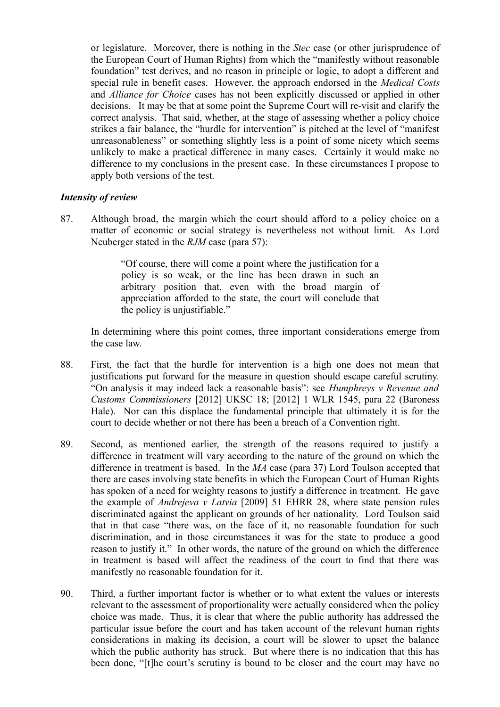or legislature. Moreover, there is nothing in the *Stec* case (or other jurisprudence of the European Court of Human Rights) from which the "manifestly without reasonable foundation" test derives, and no reason in principle or logic, to adopt a different and special rule in benefit cases. However, the approach endorsed in the *Medical Costs* and *Alliance for Choice* cases has not been explicitly discussed or applied in other decisions. It may be that at some point the Supreme Court will re-visit and clarify the correct analysis. That said, whether, at the stage of assessing whether a policy choice strikes a fair balance, the "hurdle for intervention" is pitched at the level of "manifest unreasonableness" or something slightly less is a point of some nicety which seems unlikely to make a practical difference in many cases. Certainly it would make no difference to my conclusions in the present case. In these circumstances I propose to apply both versions of the test.

### *Intensity of review*

87. Although broad, the margin which the court should afford to a policy choice on a matter of economic or social strategy is nevertheless not without limit. As Lord Neuberger stated in the *RJM* case (para 57):

> "Of course, there will come a point where the justification for a policy is so weak, or the line has been drawn in such an arbitrary position that, even with the broad margin of appreciation afforded to the state, the court will conclude that the policy is unjustifiable."

In determining where this point comes, three important considerations emerge from the case law.

- 88. First, the fact that the hurdle for intervention is a high one does not mean that justifications put forward for the measure in question should escape careful scrutiny. "On analysis it may indeed lack a reasonable basis": see *Humphreys v Revenue and Customs Commissioners* [2012] UKSC 18; [2012] 1 WLR 1545, para 22 (Baroness Hale). Nor can this displace the fundamental principle that ultimately it is for the court to decide whether or not there has been a breach of a Convention right.
- 89. Second, as mentioned earlier, the strength of the reasons required to justify a difference in treatment will vary according to the nature of the ground on which the difference in treatment is based. In the *MA* case (para 37) Lord Toulson accepted that there are cases involving state benefits in which the European Court of Human Rights has spoken of a need for weighty reasons to justify a difference in treatment. He gave the example of *Andrejeva v Latvia* [2009] 51 EHRR 28, where state pension rules discriminated against the applicant on grounds of her nationality. Lord Toulson said that in that case "there was, on the face of it, no reasonable foundation for such discrimination, and in those circumstances it was for the state to produce a good reason to justify it." In other words, the nature of the ground on which the difference in treatment is based will affect the readiness of the court to find that there was manifestly no reasonable foundation for it.
- 90. Third, a further important factor is whether or to what extent the values or interests relevant to the assessment of proportionality were actually considered when the policy choice was made. Thus, it is clear that where the public authority has addressed the particular issue before the court and has taken account of the relevant human rights considerations in making its decision, a court will be slower to upset the balance which the public authority has struck. But where there is no indication that this has been done, "[t]he court's scrutiny is bound to be closer and the court may have no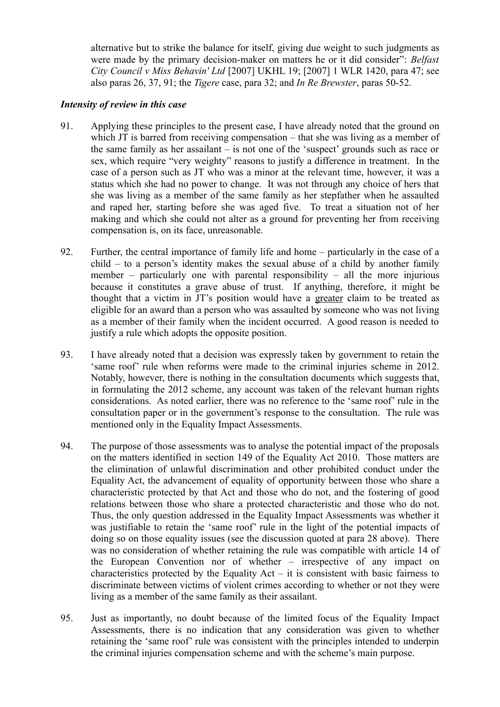alternative but to strike the balance for itself, giving due weight to such judgments as were made by the primary decision-maker on matters he or it did consider": *Belfast City Council v Miss Behavin' Ltd* [2007] UKHL 19; [2007] 1 WLR 1420, para 47; see also paras 26, 37, 91; the *Tigere* case, para 32; and *In Re Brewster*, paras 50-52.

## *Intensity of review in this case*

- 91. Applying these principles to the present case, I have already noted that the ground on which JT is barred from receiving compensation – that she was living as a member of the same family as her assailant – is not one of the 'suspect' grounds such as race or sex, which require "very weighty" reasons to justify a difference in treatment. In the case of a person such as JT who was a minor at the relevant time, however, it was a status which she had no power to change. It was not through any choice of hers that she was living as a member of the same family as her stepfather when he assaulted and raped her, starting before she was aged five. To treat a situation not of her making and which she could not alter as a ground for preventing her from receiving compensation is, on its face, unreasonable.
- 92. Further, the central importance of family life and home particularly in the case of a child – to a person's identity makes the sexual abuse of a child by another family member – particularly one with parental responsibility – all the more injurious because it constitutes a grave abuse of trust. If anything, therefore, it might be thought that a victim in JT's position would have a greater claim to be treated as eligible for an award than a person who was assaulted by someone who was not living as a member of their family when the incident occurred. A good reason is needed to justify a rule which adopts the opposite position.
- 93. I have already noted that a decision was expressly taken by government to retain the 'same roof' rule when reforms were made to the criminal injuries scheme in 2012. Notably, however, there is nothing in the consultation documents which suggests that, in formulating the 2012 scheme, any account was taken of the relevant human rights considerations. As noted earlier, there was no reference to the 'same roof' rule in the consultation paper or in the government's response to the consultation. The rule was mentioned only in the Equality Impact Assessments.
- 94. The purpose of those assessments was to analyse the potential impact of the proposals on the matters identified in section 149 of the Equality Act 2010. Those matters are the elimination of unlawful discrimination and other prohibited conduct under the Equality Act, the advancement of equality of opportunity between those who share a characteristic protected by that Act and those who do not, and the fostering of good relations between those who share a protected characteristic and those who do not. Thus, the only question addressed in the Equality Impact Assessments was whether it was justifiable to retain the 'same roof' rule in the light of the potential impacts of doing so on those equality issues (see the discussion quoted at para 28 above). There was no consideration of whether retaining the rule was compatible with article 14 of the European Convention nor of whether – irrespective of any impact on characteristics protected by the Equality Act – it is consistent with basic fairness to discriminate between victims of violent crimes according to whether or not they were living as a member of the same family as their assailant.
- 95. Just as importantly, no doubt because of the limited focus of the Equality Impact Assessments, there is no indication that any consideration was given to whether retaining the 'same roof' rule was consistent with the principles intended to underpin the criminal injuries compensation scheme and with the scheme's main purpose.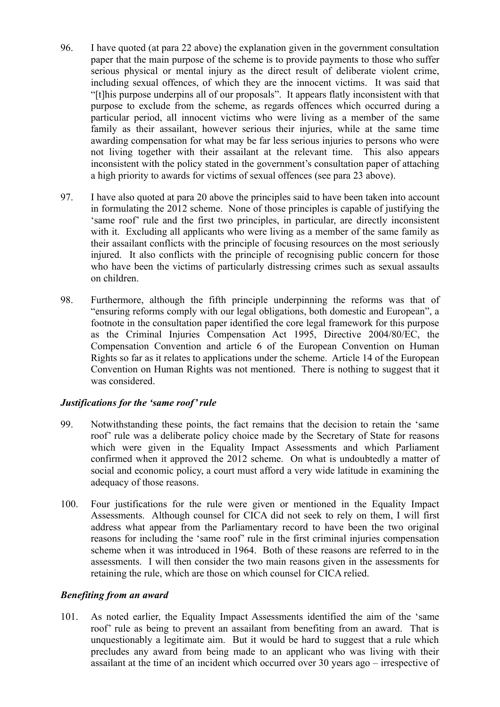- 96. I have quoted (at para 22 above) the explanation given in the government consultation paper that the main purpose of the scheme is to provide payments to those who suffer serious physical or mental injury as the direct result of deliberate violent crime, including sexual offences, of which they are the innocent victims. It was said that "[t]his purpose underpins all of our proposals". It appears flatly inconsistent with that purpose to exclude from the scheme, as regards offences which occurred during a particular period, all innocent victims who were living as a member of the same family as their assailant, however serious their injuries, while at the same time awarding compensation for what may be far less serious injuries to persons who were not living together with their assailant at the relevant time. This also appears inconsistent with the policy stated in the government's consultation paper of attaching a high priority to awards for victims of sexual offences (see para 23 above).
- 97. I have also quoted at para 20 above the principles said to have been taken into account in formulating the 2012 scheme. None of those principles is capable of justifying the 'same roof' rule and the first two principles, in particular, are directly inconsistent with it. Excluding all applicants who were living as a member of the same family as their assailant conflicts with the principle of focusing resources on the most seriously injured. It also conflicts with the principle of recognising public concern for those who have been the victims of particularly distressing crimes such as sexual assaults on children.
- 98. Furthermore, although the fifth principle underpinning the reforms was that of "ensuring reforms comply with our legal obligations, both domestic and European", a footnote in the consultation paper identified the core legal framework for this purpose as the Criminal Injuries Compensation Act 1995, Directive 2004/80/EC, the Compensation Convention and article 6 of the European Convention on Human Rights so far as it relates to applications under the scheme. Article 14 of the European Convention on Human Rights was not mentioned. There is nothing to suggest that it was considered.

### *Justifications for the 'same roof' rule*

- 99. Notwithstanding these points, the fact remains that the decision to retain the 'same roof' rule was a deliberate policy choice made by the Secretary of State for reasons which were given in the Equality Impact Assessments and which Parliament confirmed when it approved the 2012 scheme. On what is undoubtedly a matter of social and economic policy, a court must afford a very wide latitude in examining the adequacy of those reasons.
- 100. Four justifications for the rule were given or mentioned in the Equality Impact Assessments. Although counsel for CICA did not seek to rely on them, I will first address what appear from the Parliamentary record to have been the two original reasons for including the 'same roof' rule in the first criminal injuries compensation scheme when it was introduced in 1964. Both of these reasons are referred to in the assessments. I will then consider the two main reasons given in the assessments for retaining the rule, which are those on which counsel for CICA relied.

### *Benefiting from an award*

101. As noted earlier, the Equality Impact Assessments identified the aim of the 'same roof' rule as being to prevent an assailant from benefiting from an award. That is unquestionably a legitimate aim. But it would be hard to suggest that a rule which precludes any award from being made to an applicant who was living with their assailant at the time of an incident which occurred over 30 years ago – irrespective of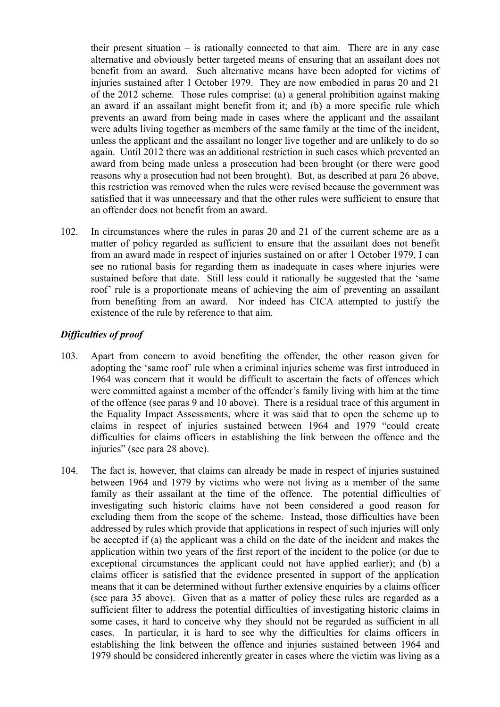their present situation – is rationally connected to that aim. There are in any case alternative and obviously better targeted means of ensuring that an assailant does not benefit from an award. Such alternative means have been adopted for victims of injuries sustained after 1 October 1979. They are now embodied in paras 20 and 21 of the 2012 scheme. Those rules comprise: (a) a general prohibition against making an award if an assailant might benefit from it; and (b) a more specific rule which prevents an award from being made in cases where the applicant and the assailant were adults living together as members of the same family at the time of the incident, unless the applicant and the assailant no longer live together and are unlikely to do so again. Until 2012 there was an additional restriction in such cases which prevented an award from being made unless a prosecution had been brought (or there were good reasons why a prosecution had not been brought). But, as described at para 26 above, this restriction was removed when the rules were revised because the government was satisfied that it was unnecessary and that the other rules were sufficient to ensure that an offender does not benefit from an award.

102. In circumstances where the rules in paras 20 and 21 of the current scheme are as a matter of policy regarded as sufficient to ensure that the assailant does not benefit from an award made in respect of injuries sustained on or after 1 October 1979, I can see no rational basis for regarding them as inadequate in cases where injuries were sustained before that date. Still less could it rationally be suggested that the 'same roof' rule is a proportionate means of achieving the aim of preventing an assailant from benefiting from an award. Nor indeed has CICA attempted to justify the existence of the rule by reference to that aim.

## *Difficulties of proof*

- 103. Apart from concern to avoid benefiting the offender, the other reason given for adopting the 'same roof' rule when a criminal injuries scheme was first introduced in 1964 was concern that it would be difficult to ascertain the facts of offences which were committed against a member of the offender's family living with him at the time of the offence (see paras 9 and 10 above). There is a residual trace of this argument in the Equality Impact Assessments, where it was said that to open the scheme up to claims in respect of injuries sustained between 1964 and 1979 "could create difficulties for claims officers in establishing the link between the offence and the injuries" (see para 28 above).
- 104. The fact is, however, that claims can already be made in respect of injuries sustained between 1964 and 1979 by victims who were not living as a member of the same family as their assailant at the time of the offence. The potential difficulties of investigating such historic claims have not been considered a good reason for excluding them from the scope of the scheme. Instead, those difficulties have been addressed by rules which provide that applications in respect of such injuries will only be accepted if (a) the applicant was a child on the date of the incident and makes the application within two years of the first report of the incident to the police (or due to exceptional circumstances the applicant could not have applied earlier); and (b) a claims officer is satisfied that the evidence presented in support of the application means that it can be determined without further extensive enquiries by a claims officer (see para 35 above). Given that as a matter of policy these rules are regarded as a sufficient filter to address the potential difficulties of investigating historic claims in some cases, it hard to conceive why they should not be regarded as sufficient in all cases. In particular, it is hard to see why the difficulties for claims officers in establishing the link between the offence and injuries sustained between 1964 and 1979 should be considered inherently greater in cases where the victim was living as a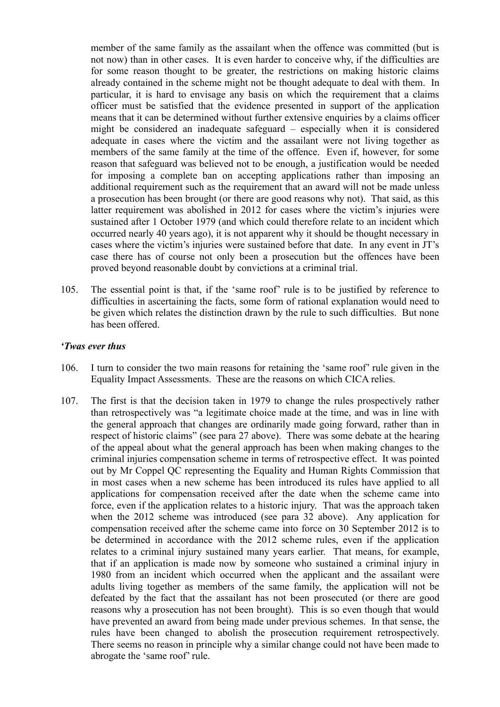member of the same family as the assailant when the offence was committed (but is not now) than in other cases. It is even harder to conceive why, if the difficulties are for some reason thought to be greater, the restrictions on making historic claims already contained in the scheme might not be thought adequate to deal with them. In particular, it is hard to envisage any basis on which the requirement that a claims officer must be satisfied that the evidence presented in support of the application means that it can be determined without further extensive enquiries by a claims officer might be considered an inadequate safeguard – especially when it is considered adequate in cases where the victim and the assailant were not living together as members of the same family at the time of the offence. Even if, however, for some reason that safeguard was believed not to be enough, a justification would be needed for imposing a complete ban on accepting applications rather than imposing an additional requirement such as the requirement that an award will not be made unless a prosecution has been brought (or there are good reasons why not). That said, as this latter requirement was abolished in 2012 for cases where the victim's injuries were sustained after 1 October 1979 (and which could therefore relate to an incident which occurred nearly 40 years ago), it is not apparent why it should be thought necessary in cases where the victim's injuries were sustained before that date. In any event in JT's case there has of course not only been a prosecution but the offences have been proved beyond reasonable doubt by convictions at a criminal trial.

105. The essential point is that, if the 'same roof' rule is to be justified by reference to difficulties in ascertaining the facts, some form of rational explanation would need to be given which relates the distinction drawn by the rule to such difficulties. But none has been offered.

#### *'Twas ever thus*

- 106. I turn to consider the two main reasons for retaining the 'same roof' rule given in the Equality Impact Assessments. These are the reasons on which CICA relies.
- 107. The first is that the decision taken in 1979 to change the rules prospectively rather than retrospectively was "a legitimate choice made at the time, and was in line with the general approach that changes are ordinarily made going forward, rather than in respect of historic claims" (see para 27 above). There was some debate at the hearing of the appeal about what the general approach has been when making changes to the criminal injuries compensation scheme in terms of retrospective effect. It was pointed out by Mr Coppel QC representing the Equality and Human Rights Commission that in most cases when a new scheme has been introduced its rules have applied to all applications for compensation received after the date when the scheme came into force, even if the application relates to a historic injury. That was the approach taken when the 2012 scheme was introduced (see para 32 above). Any application for compensation received after the scheme came into force on 30 September 2012 is to be determined in accordance with the 2012 scheme rules, even if the application relates to a criminal injury sustained many years earlier. That means, for example, that if an application is made now by someone who sustained a criminal injury in 1980 from an incident which occurred when the applicant and the assailant were adults living together as members of the same family, the application will not be defeated by the fact that the assailant has not been prosecuted (or there are good reasons why a prosecution has not been brought). This is so even though that would have prevented an award from being made under previous schemes. In that sense, the rules have been changed to abolish the prosecution requirement retrospectively. There seems no reason in principle why a similar change could not have been made to abrogate the 'same roof' rule.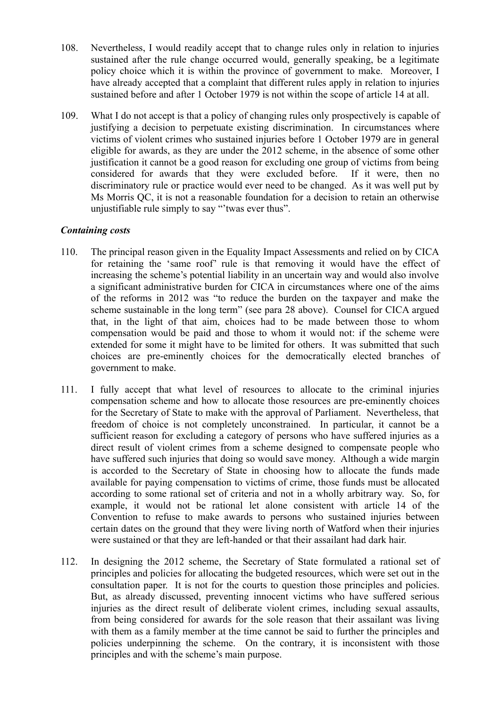- 108. Nevertheless, I would readily accept that to change rules only in relation to injuries sustained after the rule change occurred would, generally speaking, be a legitimate policy choice which it is within the province of government to make. Moreover, I have already accepted that a complaint that different rules apply in relation to injuries sustained before and after 1 October 1979 is not within the scope of article 14 at all.
- 109. What I do not accept is that a policy of changing rules only prospectively is capable of justifying a decision to perpetuate existing discrimination. In circumstances where victims of violent crimes who sustained injuries before 1 October 1979 are in general eligible for awards, as they are under the 2012 scheme, in the absence of some other justification it cannot be a good reason for excluding one group of victims from being considered for awards that they were excluded before. If it were, then no discriminatory rule or practice would ever need to be changed. As it was well put by Ms Morris QC, it is not a reasonable foundation for a decision to retain an otherwise unjustifiable rule simply to say "'twas ever thus".

## *Containing costs*

- 110. The principal reason given in the Equality Impact Assessments and relied on by CICA for retaining the 'same roof' rule is that removing it would have the effect of increasing the scheme's potential liability in an uncertain way and would also involve a significant administrative burden for CICA in circumstances where one of the aims of the reforms in 2012 was "to reduce the burden on the taxpayer and make the scheme sustainable in the long term" (see para 28 above). Counsel for CICA argued that, in the light of that aim, choices had to be made between those to whom compensation would be paid and those to whom it would not: if the scheme were extended for some it might have to be limited for others. It was submitted that such choices are pre-eminently choices for the democratically elected branches of government to make.
- 111. I fully accept that what level of resources to allocate to the criminal injuries compensation scheme and how to allocate those resources are pre-eminently choices for the Secretary of State to make with the approval of Parliament. Nevertheless, that freedom of choice is not completely unconstrained. In particular, it cannot be a sufficient reason for excluding a category of persons who have suffered injuries as a direct result of violent crimes from a scheme designed to compensate people who have suffered such injuries that doing so would save money. Although a wide margin is accorded to the Secretary of State in choosing how to allocate the funds made available for paying compensation to victims of crime, those funds must be allocated according to some rational set of criteria and not in a wholly arbitrary way. So, for example, it would not be rational let alone consistent with article 14 of the Convention to refuse to make awards to persons who sustained injuries between certain dates on the ground that they were living north of Watford when their injuries were sustained or that they are left-handed or that their assailant had dark hair.
- 112. In designing the 2012 scheme, the Secretary of State formulated a rational set of principles and policies for allocating the budgeted resources, which were set out in the consultation paper. It is not for the courts to question those principles and policies. But, as already discussed, preventing innocent victims who have suffered serious injuries as the direct result of deliberate violent crimes, including sexual assaults, from being considered for awards for the sole reason that their assailant was living with them as a family member at the time cannot be said to further the principles and policies underpinning the scheme. On the contrary, it is inconsistent with those principles and with the scheme's main purpose.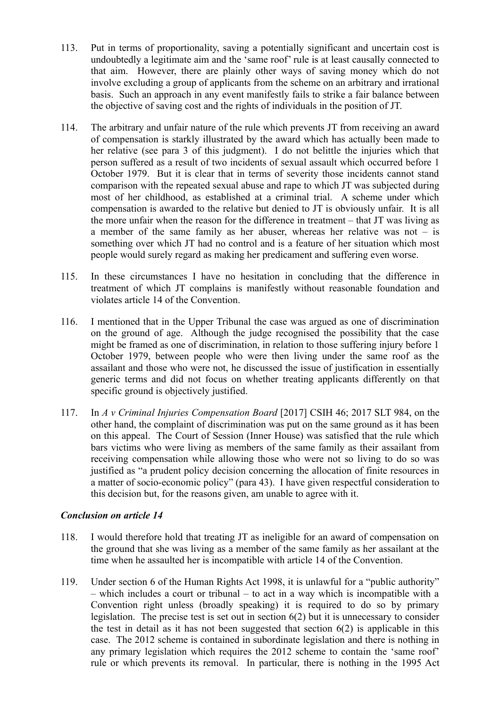- 113. Put in terms of proportionality, saving a potentially significant and uncertain cost is undoubtedly a legitimate aim and the 'same roof' rule is at least causally connected to that aim. However, there are plainly other ways of saving money which do not involve excluding a group of applicants from the scheme on an arbitrary and irrational basis. Such an approach in any event manifestly fails to strike a fair balance between the objective of saving cost and the rights of individuals in the position of JT.
- 114. The arbitrary and unfair nature of the rule which prevents JT from receiving an award of compensation is starkly illustrated by the award which has actually been made to her relative (see para 3 of this judgment). I do not belittle the injuries which that person suffered as a result of two incidents of sexual assault which occurred before 1 October 1979. But it is clear that in terms of severity those incidents cannot stand comparison with the repeated sexual abuse and rape to which JT was subjected during most of her childhood, as established at a criminal trial. A scheme under which compensation is awarded to the relative but denied to JT is obviously unfair. It is all the more unfair when the reason for the difference in treatment – that JT was living as a member of the same family as her abuser, whereas her relative was not – is something over which JT had no control and is a feature of her situation which most people would surely regard as making her predicament and suffering even worse.
- 115. In these circumstances I have no hesitation in concluding that the difference in treatment of which JT complains is manifestly without reasonable foundation and violates article 14 of the Convention.
- 116. I mentioned that in the Upper Tribunal the case was argued as one of discrimination on the ground of age. Although the judge recognised the possibility that the case might be framed as one of discrimination, in relation to those suffering injury before 1 October 1979, between people who were then living under the same roof as the assailant and those who were not, he discussed the issue of justification in essentially generic terms and did not focus on whether treating applicants differently on that specific ground is objectively justified.
- 117. In *A v Criminal Injuries Compensation Board* [2017] CSIH 46; 2017 SLT 984, on the other hand, the complaint of discrimination was put on the same ground as it has been on this appeal. The Court of Session (Inner House) was satisfied that the rule which bars victims who were living as members of the same family as their assailant from receiving compensation while allowing those who were not so living to do so was justified as "a prudent policy decision concerning the allocation of finite resources in a matter of socio-economic policy" (para 43). I have given respectful consideration to this decision but, for the reasons given, am unable to agree with it.

## *Conclusion on article 14*

- 118. I would therefore hold that treating JT as ineligible for an award of compensation on the ground that she was living as a member of the same family as her assailant at the time when he assaulted her is incompatible with article 14 of the Convention.
- 119. Under section 6 of the Human Rights Act 1998, it is unlawful for a "public authority" – which includes a court or tribunal – to act in a way which is incompatible with a Convention right unless (broadly speaking) it is required to do so by primary legislation. The precise test is set out in section 6(2) but it is unnecessary to consider the test in detail as it has not been suggested that section  $6(2)$  is applicable in this case. The 2012 scheme is contained in subordinate legislation and there is nothing in any primary legislation which requires the 2012 scheme to contain the 'same roof' rule or which prevents its removal. In particular, there is nothing in the 1995 Act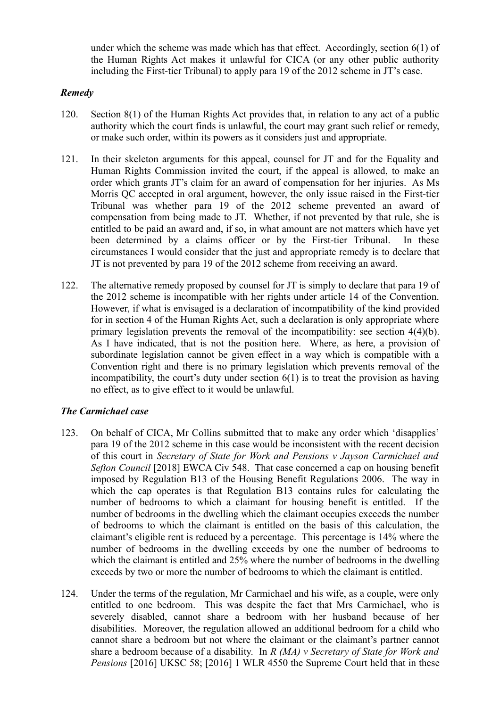under which the scheme was made which has that effect. Accordingly, section 6(1) of the Human Rights Act makes it unlawful for CICA (or any other public authority including the First-tier Tribunal) to apply para 19 of the 2012 scheme in JT's case.

## *Remedy*

- 120. Section 8(1) of the Human Rights Act provides that, in relation to any act of a public authority which the court finds is unlawful, the court may grant such relief or remedy, or make such order, within its powers as it considers just and appropriate.
- 121. In their skeleton arguments for this appeal, counsel for JT and for the Equality and Human Rights Commission invited the court, if the appeal is allowed, to make an order which grants JT's claim for an award of compensation for her injuries. As Ms Morris QC accepted in oral argument, however, the only issue raised in the First-tier Tribunal was whether para 19 of the 2012 scheme prevented an award of compensation from being made to JT. Whether, if not prevented by that rule, she is entitled to be paid an award and, if so, in what amount are not matters which have yet been determined by a claims officer or by the First-tier Tribunal. In these circumstances I would consider that the just and appropriate remedy is to declare that JT is not prevented by para 19 of the 2012 scheme from receiving an award.
- 122. The alternative remedy proposed by counsel for JT is simply to declare that para 19 of the 2012 scheme is incompatible with her rights under article 14 of the Convention. However, if what is envisaged is a declaration of incompatibility of the kind provided for in section 4 of the Human Rights Act, such a declaration is only appropriate where primary legislation prevents the removal of the incompatibility: see section 4(4)(b). As I have indicated, that is not the position here. Where, as here, a provision of subordinate legislation cannot be given effect in a way which is compatible with a Convention right and there is no primary legislation which prevents removal of the incompatibility, the court's duty under section 6(1) is to treat the provision as having no effect, as to give effect to it would be unlawful.

## *The Carmichael case*

- 123. On behalf of CICA, Mr Collins submitted that to make any order which 'disapplies' para 19 of the 2012 scheme in this case would be inconsistent with the recent decision of this court in *Secretary of State for Work and Pensions v Jayson Carmichael and Sefton Council* [2018] EWCA Civ 548. That case concerned a cap on housing benefit imposed by Regulation B13 of the Housing Benefit Regulations 2006. The way in which the cap operates is that Regulation B13 contains rules for calculating the number of bedrooms to which a claimant for housing benefit is entitled. If the number of bedrooms in the dwelling which the claimant occupies exceeds the number of bedrooms to which the claimant is entitled on the basis of this calculation, the claimant's eligible rent is reduced by a percentage. This percentage is 14% where the number of bedrooms in the dwelling exceeds by one the number of bedrooms to which the claimant is entitled and 25% where the number of bedrooms in the dwelling exceeds by two or more the number of bedrooms to which the claimant is entitled.
- 124. Under the terms of the regulation, Mr Carmichael and his wife, as a couple, were only entitled to one bedroom. This was despite the fact that Mrs Carmichael, who is severely disabled, cannot share a bedroom with her husband because of her disabilities. Moreover, the regulation allowed an additional bedroom for a child who cannot share a bedroom but not where the claimant or the claimant's partner cannot share a bedroom because of a disability. In *R (MA) v Secretary of State for Work and Pensions* [2016] UKSC 58; [2016] 1 WLR 4550 the Supreme Court held that in these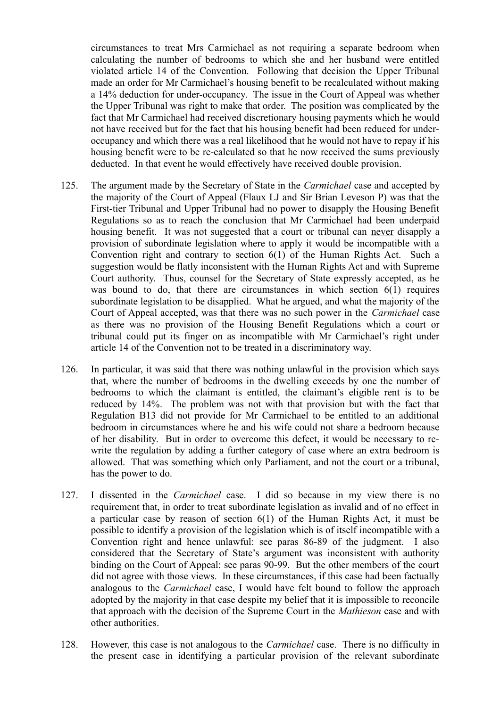circumstances to treat Mrs Carmichael as not requiring a separate bedroom when calculating the number of bedrooms to which she and her husband were entitled violated article 14 of the Convention. Following that decision the Upper Tribunal made an order for Mr Carmichael's housing benefit to be recalculated without making a 14% deduction for under-occupancy. The issue in the Court of Appeal was whether the Upper Tribunal was right to make that order. The position was complicated by the fact that Mr Carmichael had received discretionary housing payments which he would not have received but for the fact that his housing benefit had been reduced for underoccupancy and which there was a real likelihood that he would not have to repay if his housing benefit were to be re-calculated so that he now received the sums previously deducted. In that event he would effectively have received double provision.

- 125. The argument made by the Secretary of State in the *Carmichael* case and accepted by the majority of the Court of Appeal (Flaux LJ and Sir Brian Leveson P) was that the First-tier Tribunal and Upper Tribunal had no power to disapply the Housing Benefit Regulations so as to reach the conclusion that Mr Carmichael had been underpaid housing benefit. It was not suggested that a court or tribunal can never disapply a provision of subordinate legislation where to apply it would be incompatible with a Convention right and contrary to section 6(1) of the Human Rights Act. Such a suggestion would be flatly inconsistent with the Human Rights Act and with Supreme Court authority. Thus, counsel for the Secretary of State expressly accepted, as he was bound to do, that there are circumstances in which section 6(1) requires subordinate legislation to be disapplied. What he argued, and what the majority of the Court of Appeal accepted, was that there was no such power in the *Carmichael* case as there was no provision of the Housing Benefit Regulations which a court or tribunal could put its finger on as incompatible with Mr Carmichael's right under article 14 of the Convention not to be treated in a discriminatory way.
- 126. In particular, it was said that there was nothing unlawful in the provision which says that, where the number of bedrooms in the dwelling exceeds by one the number of bedrooms to which the claimant is entitled, the claimant's eligible rent is to be reduced by 14%. The problem was not with that provision but with the fact that Regulation B13 did not provide for Mr Carmichael to be entitled to an additional bedroom in circumstances where he and his wife could not share a bedroom because of her disability. But in order to overcome this defect, it would be necessary to rewrite the regulation by adding a further category of case where an extra bedroom is allowed. That was something which only Parliament, and not the court or a tribunal, has the power to do.
- 127. I dissented in the *Carmichael* case. I did so because in my view there is no requirement that, in order to treat subordinate legislation as invalid and of no effect in a particular case by reason of section 6(1) of the Human Rights Act, it must be possible to identify a provision of the legislation which is of itself incompatible with a Convention right and hence unlawful: see paras 86-89 of the judgment. I also considered that the Secretary of State's argument was inconsistent with authority binding on the Court of Appeal: see paras 90-99. But the other members of the court did not agree with those views. In these circumstances, if this case had been factually analogous to the *Carmichael* case, I would have felt bound to follow the approach adopted by the majority in that case despite my belief that it is impossible to reconcile that approach with the decision of the Supreme Court in the *Mathieson* case and with other authorities.
- 128. However, this case is not analogous to the *Carmichael* case. There is no difficulty in the present case in identifying a particular provision of the relevant subordinate